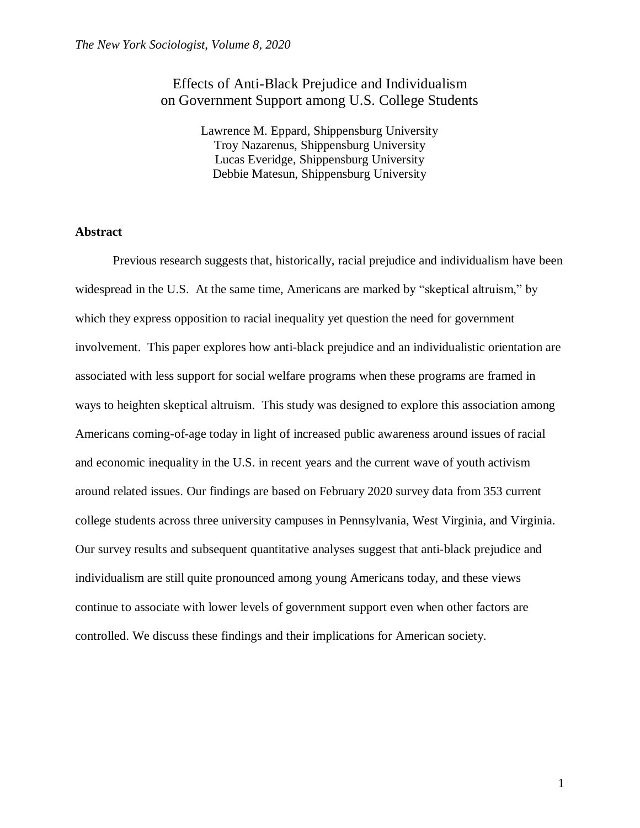## Effects of Anti-Black Prejudice and Individualism on Government Support among U.S. College Students

Lawrence M. Eppard, Shippensburg University Troy Nazarenus, Shippensburg University Lucas Everidge, Shippensburg University Debbie Matesun, Shippensburg University

### **Abstract**

Previous research suggests that, historically, racial prejudice and individualism have been widespread in the U.S. At the same time, Americans are marked by "skeptical altruism," by which they express opposition to racial inequality yet question the need for government involvement. This paper explores how anti-black prejudice and an individualistic orientation are associated with less support for social welfare programs when these programs are framed in ways to heighten skeptical altruism. This study was designed to explore this association among Americans coming-of-age today in light of increased public awareness around issues of racial and economic inequality in the U.S. in recent years and the current wave of youth activism around related issues. Our findings are based on February 2020 survey data from 353 current college students across three university campuses in Pennsylvania, West Virginia, and Virginia. Our survey results and subsequent quantitative analyses suggest that anti-black prejudice and individualism are still quite pronounced among young Americans today, and these views continue to associate with lower levels of government support even when other factors are controlled. We discuss these findings and their implications for American society.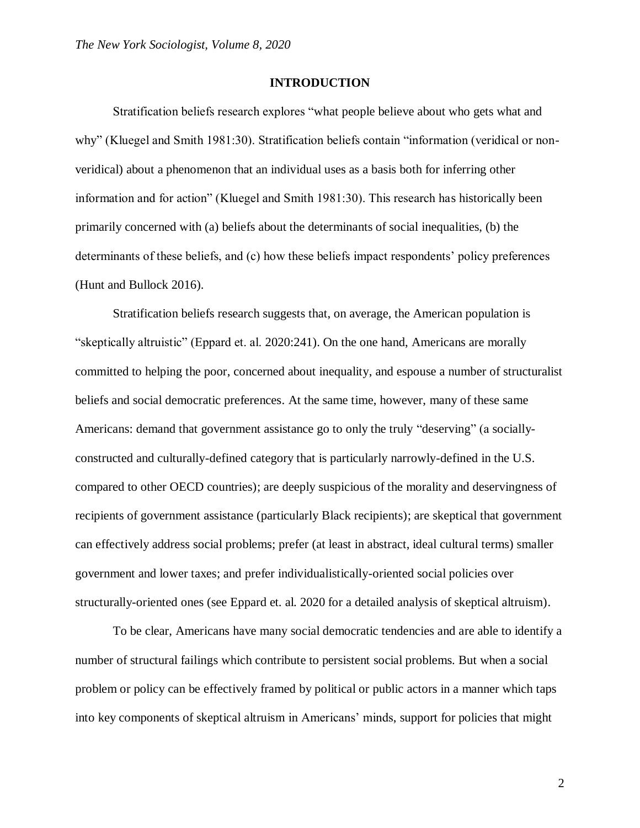#### **INTRODUCTION**

Stratification beliefs research explores "what people believe about who gets what and why" (Kluegel and Smith 1981:30). Stratification beliefs contain "information (veridical or nonveridical) about a phenomenon that an individual uses as a basis both for inferring other information and for action" (Kluegel and Smith 1981:30). This research has historically been primarily concerned with (a) beliefs about the determinants of social inequalities, (b) the determinants of these beliefs, and (c) how these beliefs impact respondents' policy preferences (Hunt and Bullock 2016).

Stratification beliefs research suggests that, on average, the American population is "skeptically altruistic" (Eppard et. al. 2020:241). On the one hand, Americans are morally committed to helping the poor, concerned about inequality, and espouse a number of structuralist beliefs and social democratic preferences. At the same time, however, many of these same Americans: demand that government assistance go to only the truly "deserving" (a sociallyconstructed and culturally-defined category that is particularly narrowly-defined in the U.S. compared to other OECD countries); are deeply suspicious of the morality and deservingness of recipients of government assistance (particularly Black recipients); are skeptical that government can effectively address social problems; prefer (at least in abstract, ideal cultural terms) smaller government and lower taxes; and prefer individualistically-oriented social policies over structurally-oriented ones (see Eppard et. al. 2020 for a detailed analysis of skeptical altruism).

To be clear, Americans have many social democratic tendencies and are able to identify a number of structural failings which contribute to persistent social problems. But when a social problem or policy can be effectively framed by political or public actors in a manner which taps into key components of skeptical altruism in Americans' minds, support for policies that might

2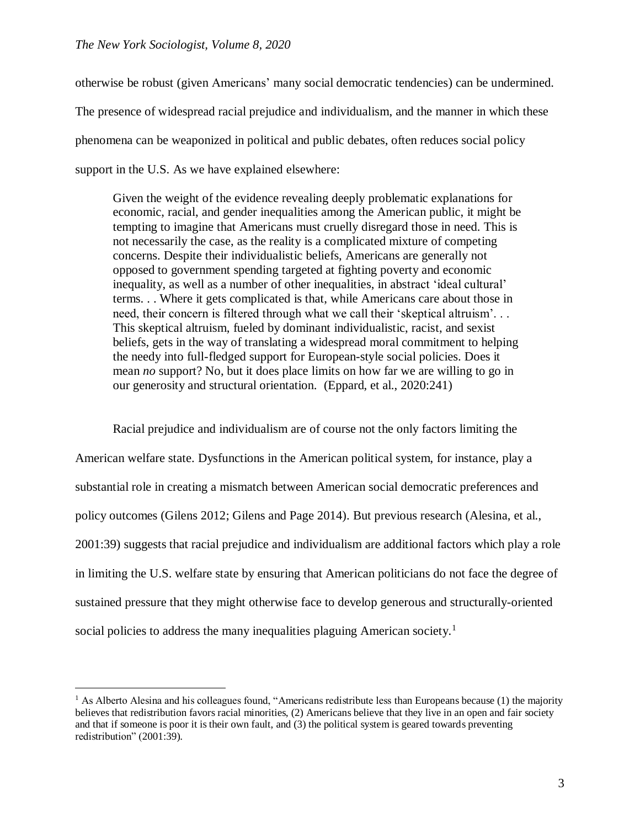$\overline{a}$ 

otherwise be robust (given Americans' many social democratic tendencies) can be undermined. The presence of widespread racial prejudice and individualism, and the manner in which these phenomena can be weaponized in political and public debates, often reduces social policy support in the U.S. As we have explained elsewhere:

Given the weight of the evidence revealing deeply problematic explanations for economic, racial, and gender inequalities among the American public, it might be tempting to imagine that Americans must cruelly disregard those in need. This is not necessarily the case, as the reality is a complicated mixture of competing concerns. Despite their individualistic beliefs, Americans are generally not opposed to government spending targeted at fighting poverty and economic inequality, as well as a number of other inequalities, in abstract 'ideal cultural' terms. . . Where it gets complicated is that, while Americans care about those in need, their concern is filtered through what we call their 'skeptical altruism'. . . This skeptical altruism, fueled by dominant individualistic, racist, and sexist beliefs, gets in the way of translating a widespread moral commitment to helping the needy into full-fledged support for European-style social policies. Does it mean *no* support? No, but it does place limits on how far we are willing to go in our generosity and structural orientation. (Eppard, et al., 2020:241)

Racial prejudice and individualism are of course not the only factors limiting the American welfare state. Dysfunctions in the American political system, for instance, play a substantial role in creating a mismatch between American social democratic preferences and policy outcomes (Gilens 2012; Gilens and Page 2014). But previous research (Alesina, et al., 2001:39) suggests that racial prejudice and individualism are additional factors which play a role in limiting the U.S. welfare state by ensuring that American politicians do not face the degree of sustained pressure that they might otherwise face to develop generous and structurally-oriented social policies to address the many inequalities plaguing American society.<sup>1</sup>

<sup>&</sup>lt;sup>1</sup> As Alberto Alesina and his colleagues found, "Americans redistribute less than Europeans because (1) the majority believes that redistribution favors racial minorities, (2) Americans believe that they live in an open and fair society and that if someone is poor it is their own fault, and (3) the political system is geared towards preventing redistribution" (2001:39).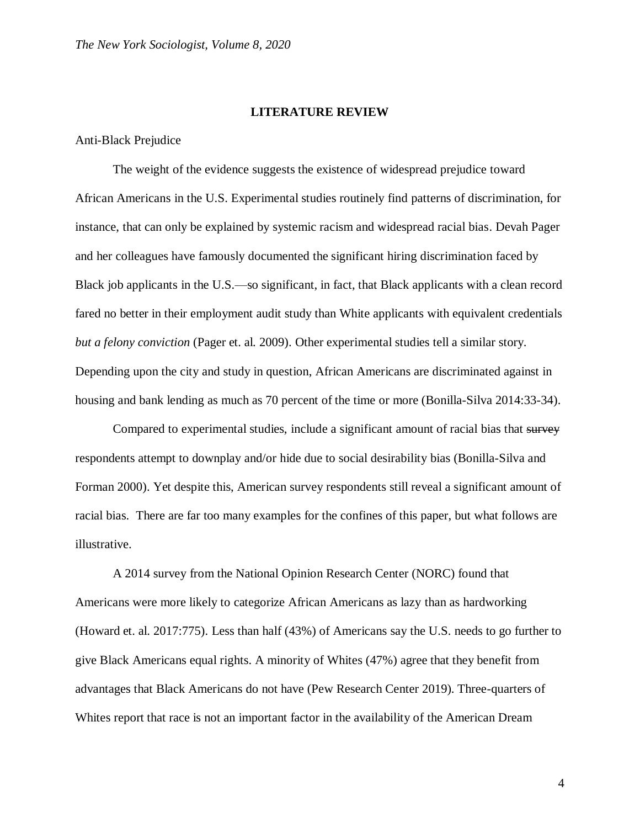### **LITERATURE REVIEW**

### Anti-Black Prejudice

The weight of the evidence suggests the existence of widespread prejudice toward African Americans in the U.S. Experimental studies routinely find patterns of discrimination, for instance, that can only be explained by systemic racism and widespread racial bias. Devah Pager and her colleagues have famously documented the significant hiring discrimination faced by Black job applicants in the U.S.—so significant, in fact, that Black applicants with a clean record fared no better in their employment audit study than White applicants with equivalent credentials *but a felony conviction* (Pager et. al. 2009). Other experimental studies tell a similar story. Depending upon the city and study in question, African Americans are discriminated against in housing and bank lending as much as 70 percent of the time or more (Bonilla-Silva 2014:33-34).

Compared to experimental studies, include a significant amount of racial bias that survey respondents attempt to downplay and/or hide due to social desirability bias (Bonilla-Silva and Forman 2000). Yet despite this, American survey respondents still reveal a significant amount of racial bias. There are far too many examples for the confines of this paper, but what follows are illustrative.

A 2014 survey from the National Opinion Research Center (NORC) found that Americans were more likely to categorize African Americans as lazy than as hardworking (Howard et. al. 2017:775). Less than half (43%) of Americans say the U.S. needs to go further to give Black Americans equal rights. A minority of Whites (47%) agree that they benefit from advantages that Black Americans do not have (Pew Research Center 2019). Three-quarters of Whites report that race is not an important factor in the availability of the American Dream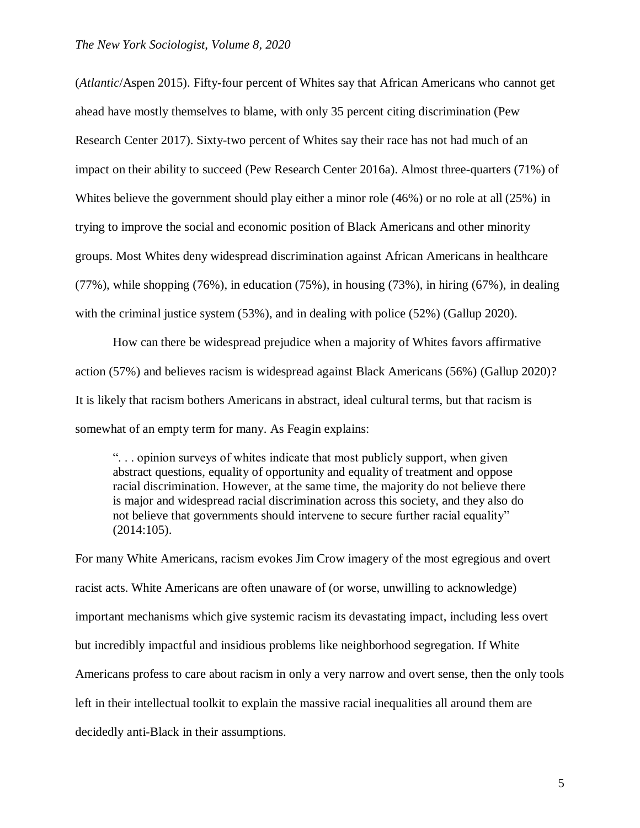(*Atlantic*/Aspen 2015). Fifty-four percent of Whites say that African Americans who cannot get ahead have mostly themselves to blame, with only 35 percent citing discrimination (Pew Research Center 2017). Sixty-two percent of Whites say their race has not had much of an impact on their ability to succeed (Pew Research Center 2016a). Almost three-quarters (71%) of Whites believe the government should play either a minor role (46%) or no role at all (25%) in trying to improve the social and economic position of Black Americans and other minority groups. Most Whites deny widespread discrimination against African Americans in healthcare (77%), while shopping (76%), in education (75%), in housing (73%), in hiring (67%), in dealing with the criminal justice system (53%), and in dealing with police (52%) (Gallup 2020).

How can there be widespread prejudice when a majority of Whites favors affirmative action (57%) and believes racism is widespread against Black Americans (56%) (Gallup 2020)? It is likely that racism bothers Americans in abstract, ideal cultural terms, but that racism is somewhat of an empty term for many. As Feagin explains:

". . . opinion surveys of whites indicate that most publicly support, when given abstract questions, equality of opportunity and equality of treatment and oppose racial discrimination. However, at the same time, the majority do not believe there is major and widespread racial discrimination across this society, and they also do not believe that governments should intervene to secure further racial equality" (2014:105).

For many White Americans, racism evokes Jim Crow imagery of the most egregious and overt racist acts. White Americans are often unaware of (or worse, unwilling to acknowledge) important mechanisms which give systemic racism its devastating impact, including less overt but incredibly impactful and insidious problems like neighborhood segregation. If White Americans profess to care about racism in only a very narrow and overt sense, then the only tools left in their intellectual toolkit to explain the massive racial inequalities all around them are decidedly anti-Black in their assumptions.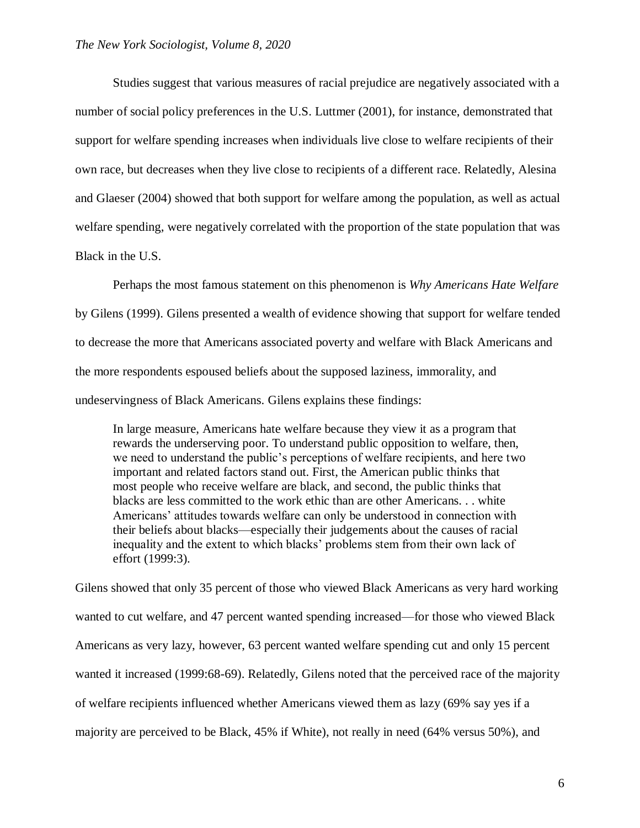Studies suggest that various measures of racial prejudice are negatively associated with a number of social policy preferences in the U.S. Luttmer (2001), for instance, demonstrated that support for welfare spending increases when individuals live close to welfare recipients of their own race, but decreases when they live close to recipients of a different race. Relatedly, Alesina and Glaeser (2004) showed that both support for welfare among the population, as well as actual welfare spending, were negatively correlated with the proportion of the state population that was Black in the U.S.

Perhaps the most famous statement on this phenomenon is *Why Americans Hate Welfare*  by Gilens (1999). Gilens presented a wealth of evidence showing that support for welfare tended to decrease the more that Americans associated poverty and welfare with Black Americans and the more respondents espoused beliefs about the supposed laziness, immorality, and undeservingness of Black Americans. Gilens explains these findings:

In large measure, Americans hate welfare because they view it as a program that rewards the underserving poor. To understand public opposition to welfare, then, we need to understand the public's perceptions of welfare recipients, and here two important and related factors stand out. First, the American public thinks that most people who receive welfare are black, and second, the public thinks that blacks are less committed to the work ethic than are other Americans. . . white Americans' attitudes towards welfare can only be understood in connection with their beliefs about blacks—especially their judgements about the causes of racial inequality and the extent to which blacks' problems stem from their own lack of effort (1999:3).

Gilens showed that only 35 percent of those who viewed Black Americans as very hard working wanted to cut welfare, and 47 percent wanted spending increased—for those who viewed Black Americans as very lazy, however, 63 percent wanted welfare spending cut and only 15 percent wanted it increased (1999:68-69). Relatedly, Gilens noted that the perceived race of the majority of welfare recipients influenced whether Americans viewed them as lazy (69% say yes if a majority are perceived to be Black, 45% if White), not really in need (64% versus 50%), and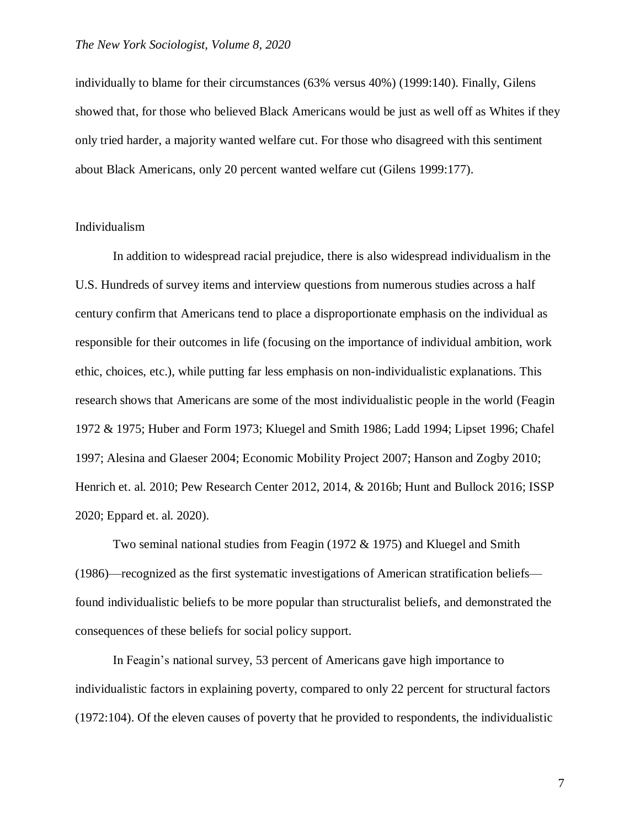individually to blame for their circumstances (63% versus 40%) (1999:140). Finally, Gilens showed that, for those who believed Black Americans would be just as well off as Whites if they only tried harder, a majority wanted welfare cut. For those who disagreed with this sentiment about Black Americans, only 20 percent wanted welfare cut (Gilens 1999:177).

## Individualism

In addition to widespread racial prejudice, there is also widespread individualism in the U.S. Hundreds of survey items and interview questions from numerous studies across a half century confirm that Americans tend to place a disproportionate emphasis on the individual as responsible for their outcomes in life (focusing on the importance of individual ambition, work ethic, choices, etc.), while putting far less emphasis on non-individualistic explanations. This research shows that Americans are some of the most individualistic people in the world (Feagin 1972 & 1975; Huber and Form 1973; Kluegel and Smith 1986; Ladd 1994; Lipset 1996; Chafel 1997; Alesina and Glaeser 2004; Economic Mobility Project 2007; Hanson and Zogby 2010; Henrich et. al. 2010; Pew Research Center 2012, 2014, & 2016b; Hunt and Bullock 2016; ISSP 2020; Eppard et. al. 2020).

Two seminal national studies from Feagin (1972 & 1975) and Kluegel and Smith (1986)—recognized as the first systematic investigations of American stratification beliefs found individualistic beliefs to be more popular than structuralist beliefs, and demonstrated the consequences of these beliefs for social policy support.

In Feagin's national survey, 53 percent of Americans gave high importance to individualistic factors in explaining poverty, compared to only 22 percent for structural factors (1972:104). Of the eleven causes of poverty that he provided to respondents, the individualistic

7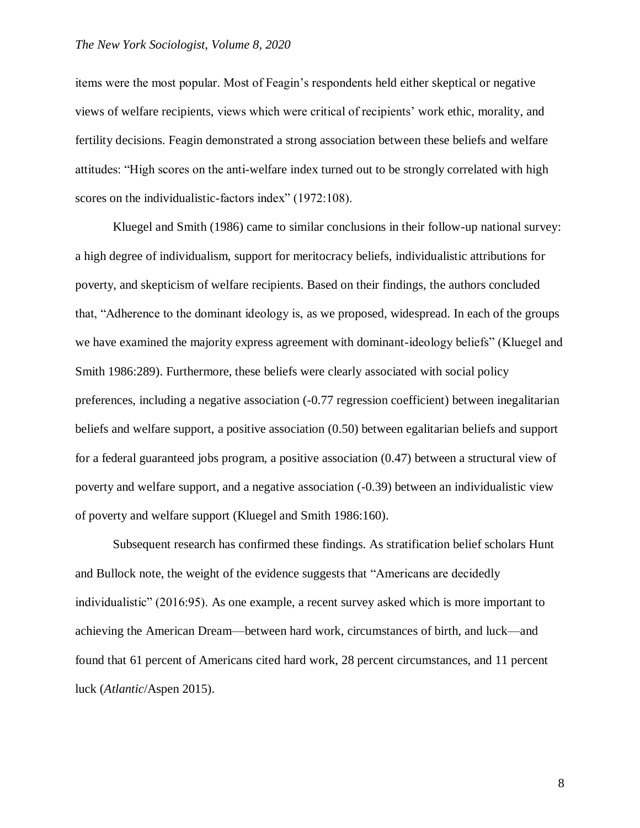#### *The New York Sociologist, Volume 8, 2020*

items were the most popular. Most of Feagin's respondents held either skeptical or negative views of welfare recipients, views which were critical of recipients' work ethic, morality, and fertility decisions. Feagin demonstrated a strong association between these beliefs and welfare attitudes: "High scores on the anti-welfare index turned out to be strongly correlated with high scores on the individualistic-factors index" (1972:108).

Kluegel and Smith (1986) came to similar conclusions in their follow-up national survey: a high degree of individualism, support for meritocracy beliefs, individualistic attributions for poverty, and skepticism of welfare recipients. Based on their findings, the authors concluded that, "Adherence to the dominant ideology is, as we proposed, widespread. In each of the groups we have examined the majority express agreement with dominant-ideology beliefs" (Kluegel and Smith 1986:289). Furthermore, these beliefs were clearly associated with social policy preferences, including a negative association (-0.77 regression coefficient) between inegalitarian beliefs and welfare support, a positive association (0.50) between egalitarian beliefs and support for a federal guaranteed jobs program, a positive association (0.47) between a structural view of poverty and welfare support, and a negative association (-0.39) between an individualistic view of poverty and welfare support (Kluegel and Smith 1986:160).

Subsequent research has confirmed these findings. As stratification belief scholars Hunt and Bullock note, the weight of the evidence suggests that "Americans are decidedly individualistic" (2016:95). As one example, a recent survey asked which is more important to achieving the American Dream—between hard work, circumstances of birth, and luck—and found that 61 percent of Americans cited hard work, 28 percent circumstances, and 11 percent luck (*Atlantic*/Aspen 2015).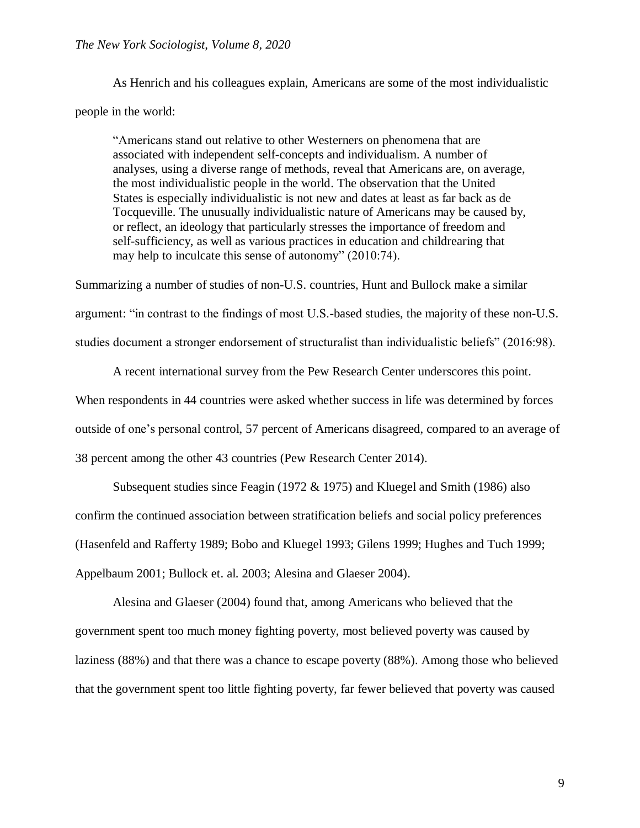As Henrich and his colleagues explain, Americans are some of the most individualistic people in the world:

"Americans stand out relative to other Westerners on phenomena that are associated with independent self-concepts and individualism. A number of analyses, using a diverse range of methods, reveal that Americans are, on average, the most individualistic people in the world. The observation that the United States is especially individualistic is not new and dates at least as far back as de Tocqueville. The unusually individualistic nature of Americans may be caused by, or reflect, an ideology that particularly stresses the importance of freedom and self-sufficiency, as well as various practices in education and childrearing that may help to inculcate this sense of autonomy" (2010:74).

Summarizing a number of studies of non-U.S. countries, Hunt and Bullock make a similar argument: "in contrast to the findings of most U.S.-based studies, the majority of these non-U.S. studies document a stronger endorsement of structuralist than individualistic beliefs" (2016:98).

A recent international survey from the Pew Research Center underscores this point.

When respondents in 44 countries were asked whether success in life was determined by forces

outside of one's personal control, 57 percent of Americans disagreed, compared to an average of

38 percent among the other 43 countries (Pew Research Center 2014).

Subsequent studies since Feagin (1972 & 1975) and Kluegel and Smith (1986) also confirm the continued association between stratification beliefs and social policy preferences (Hasenfeld and Rafferty 1989; Bobo and Kluegel 1993; Gilens 1999; Hughes and Tuch 1999; Appelbaum 2001; Bullock et. al. 2003; Alesina and Glaeser 2004).

Alesina and Glaeser (2004) found that, among Americans who believed that the government spent too much money fighting poverty, most believed poverty was caused by laziness (88%) and that there was a chance to escape poverty (88%). Among those who believed that the government spent too little fighting poverty, far fewer believed that poverty was caused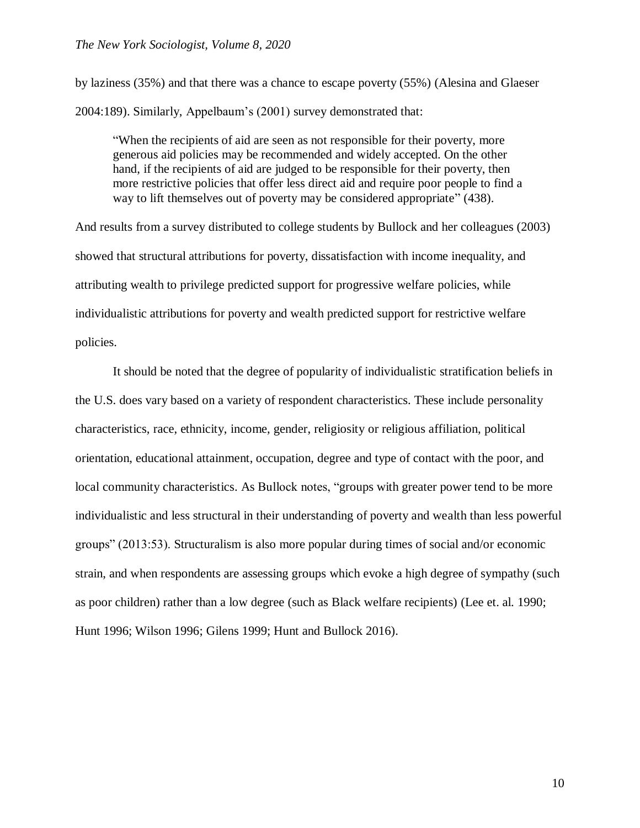by laziness (35%) and that there was a chance to escape poverty (55%) (Alesina and Glaeser 2004:189). Similarly, Appelbaum's (2001) survey demonstrated that:

"When the recipients of aid are seen as not responsible for their poverty, more generous aid policies may be recommended and widely accepted. On the other hand, if the recipients of aid are judged to be responsible for their poverty, then more restrictive policies that offer less direct aid and require poor people to find a way to lift themselves out of poverty may be considered appropriate" (438).

And results from a survey distributed to college students by Bullock and her colleagues (2003) showed that structural attributions for poverty, dissatisfaction with income inequality, and attributing wealth to privilege predicted support for progressive welfare policies, while individualistic attributions for poverty and wealth predicted support for restrictive welfare policies.

It should be noted that the degree of popularity of individualistic stratification beliefs in the U.S. does vary based on a variety of respondent characteristics. These include personality characteristics, race, ethnicity, income, gender, religiosity or religious affiliation, political orientation, educational attainment, occupation, degree and type of contact with the poor, and local community characteristics. As Bullock notes, "groups with greater power tend to be more individualistic and less structural in their understanding of poverty and wealth than less powerful groups" (2013:53). Structuralism is also more popular during times of social and/or economic strain, and when respondents are assessing groups which evoke a high degree of sympathy (such as poor children) rather than a low degree (such as Black welfare recipients) (Lee et. al. 1990; Hunt 1996; Wilson 1996; Gilens 1999; Hunt and Bullock 2016).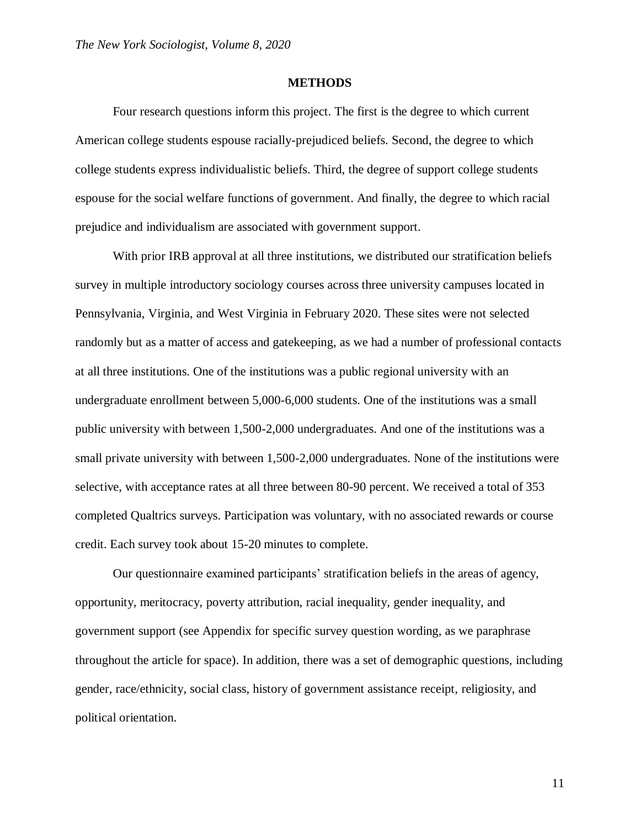#### **METHODS**

Four research questions inform this project. The first is the degree to which current American college students espouse racially-prejudiced beliefs. Second, the degree to which college students express individualistic beliefs. Third, the degree of support college students espouse for the social welfare functions of government. And finally, the degree to which racial prejudice and individualism are associated with government support.

With prior IRB approval at all three institutions, we distributed our stratification beliefs survey in multiple introductory sociology courses across three university campuses located in Pennsylvania, Virginia, and West Virginia in February 2020. These sites were not selected randomly but as a matter of access and gatekeeping, as we had a number of professional contacts at all three institutions. One of the institutions was a public regional university with an undergraduate enrollment between 5,000-6,000 students. One of the institutions was a small public university with between 1,500-2,000 undergraduates. And one of the institutions was a small private university with between 1,500-2,000 undergraduates. None of the institutions were selective, with acceptance rates at all three between 80-90 percent. We received a total of 353 completed Qualtrics surveys. Participation was voluntary, with no associated rewards or course credit. Each survey took about 15-20 minutes to complete.

Our questionnaire examined participants' stratification beliefs in the areas of agency, opportunity, meritocracy, poverty attribution, racial inequality, gender inequality, and government support (see Appendix for specific survey question wording, as we paraphrase throughout the article for space). In addition, there was a set of demographic questions, including gender, race/ethnicity, social class, history of government assistance receipt, religiosity, and political orientation.

11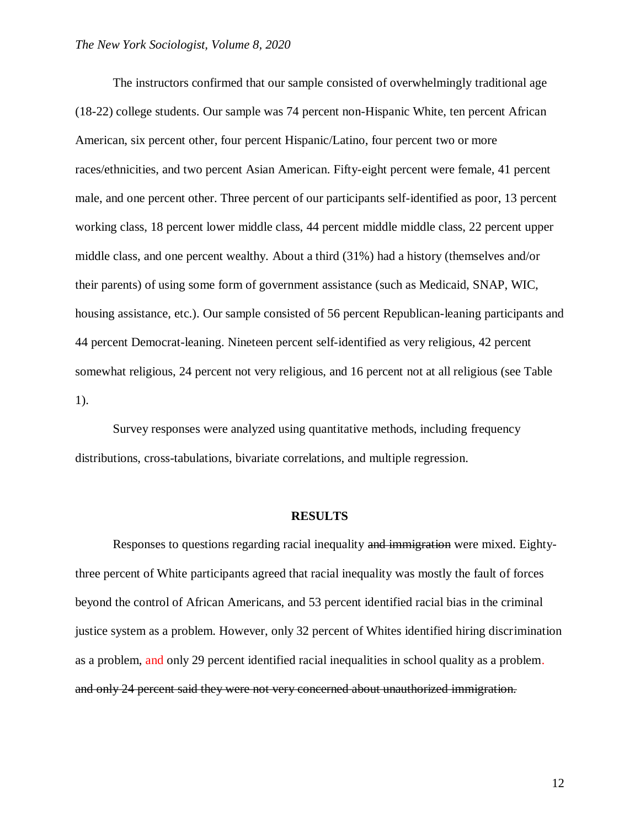The instructors confirmed that our sample consisted of overwhelmingly traditional age (18-22) college students. Our sample was 74 percent non-Hispanic White, ten percent African American, six percent other, four percent Hispanic/Latino, four percent two or more races/ethnicities, and two percent Asian American. Fifty-eight percent were female, 41 percent male, and one percent other. Three percent of our participants self-identified as poor, 13 percent working class, 18 percent lower middle class, 44 percent middle middle class, 22 percent upper middle class, and one percent wealthy. About a third (31%) had a history (themselves and/or their parents) of using some form of government assistance (such as Medicaid, SNAP, WIC, housing assistance, etc.). Our sample consisted of 56 percent Republican-leaning participants and 44 percent Democrat-leaning. Nineteen percent self-identified as very religious, 42 percent somewhat religious, 24 percent not very religious, and 16 percent not at all religious (see Table 1).

Survey responses were analyzed using quantitative methods, including frequency distributions, cross-tabulations, bivariate correlations, and multiple regression.

#### **RESULTS**

Responses to questions regarding racial inequality and immigration were mixed. Eightythree percent of White participants agreed that racial inequality was mostly the fault of forces beyond the control of African Americans, and 53 percent identified racial bias in the criminal justice system as a problem. However, only 32 percent of Whites identified hiring discrimination as a problem, and only 29 percent identified racial inequalities in school quality as a problem. and only 24 percent said they were not very concerned about unauthorized immigration.

12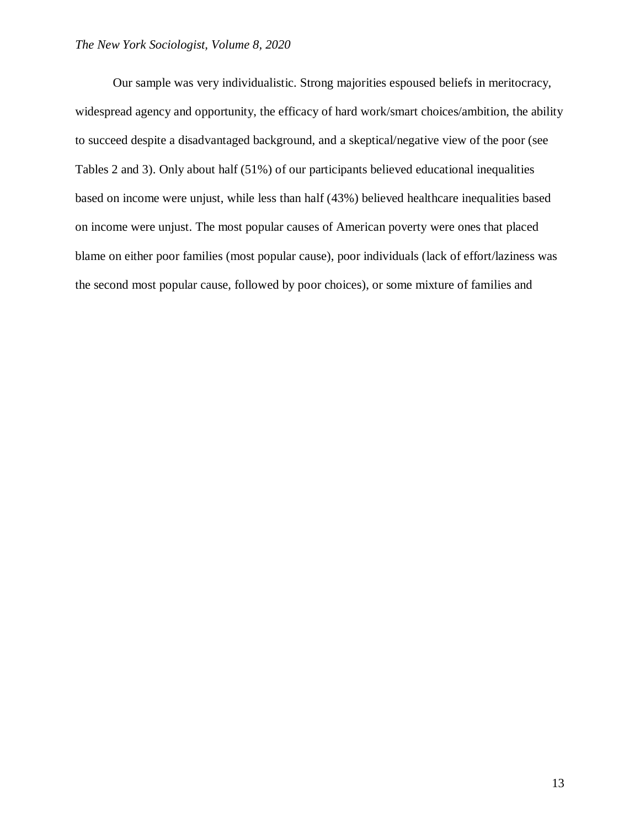Our sample was very individualistic. Strong majorities espoused beliefs in meritocracy, widespread agency and opportunity, the efficacy of hard work/smart choices/ambition, the ability to succeed despite a disadvantaged background, and a skeptical/negative view of the poor (see Tables 2 and 3). Only about half (51%) of our participants believed educational inequalities based on income were unjust, while less than half (43%) believed healthcare inequalities based on income were unjust. The most popular causes of American poverty were ones that placed blame on either poor families (most popular cause), poor individuals (lack of effort/laziness was the second most popular cause, followed by poor choices), or some mixture of families and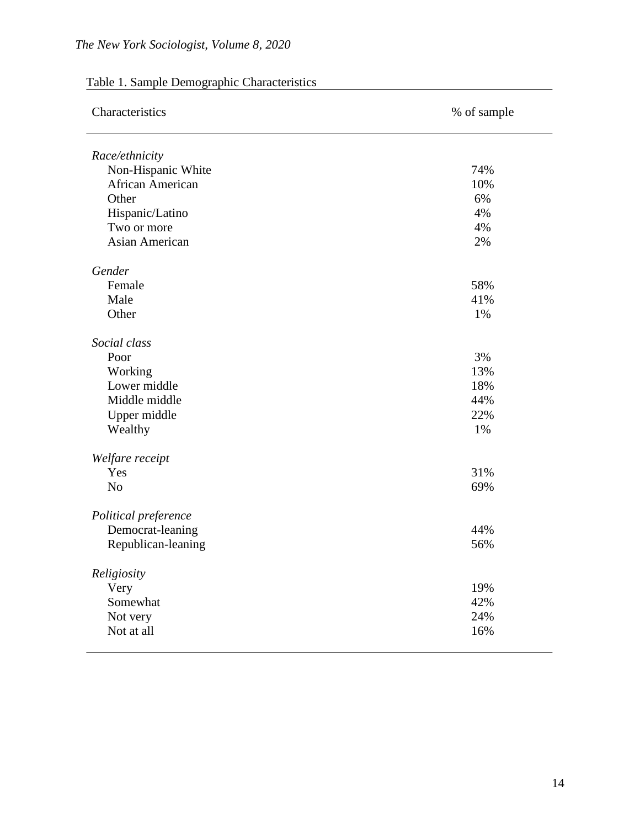| Characteristics      | % of sample |  |  |
|----------------------|-------------|--|--|
| Race/ethnicity       |             |  |  |
| Non-Hispanic White   | 74%         |  |  |
| African American     | 10%         |  |  |
| Other                | 6%          |  |  |
| Hispanic/Latino      | 4%          |  |  |
| Two or more          | 4%          |  |  |
| Asian American       | 2%          |  |  |
| Gender               |             |  |  |
| Female               | 58%         |  |  |
| Male                 | 41%         |  |  |
| Other                | 1%          |  |  |
| Social class         |             |  |  |
| Poor                 | 3%          |  |  |
| Working              | 13%         |  |  |
| Lower middle         | 18%         |  |  |
| Middle middle        | 44%         |  |  |
| Upper middle         | 22%         |  |  |
| Wealthy              | 1%          |  |  |
| Welfare receipt      |             |  |  |
| Yes                  | 31%         |  |  |
| N <sub>o</sub>       | 69%         |  |  |
| Political preference |             |  |  |
| Democrat-leaning     | 44%         |  |  |
| Republican-leaning   | 56%         |  |  |
| Religiosity          |             |  |  |
| Very                 | 19%         |  |  |
| Somewhat             | 42%         |  |  |
| Not very             | 24%         |  |  |
| Not at all           | 16%         |  |  |

# Table 1. Sample Demographic Characteristics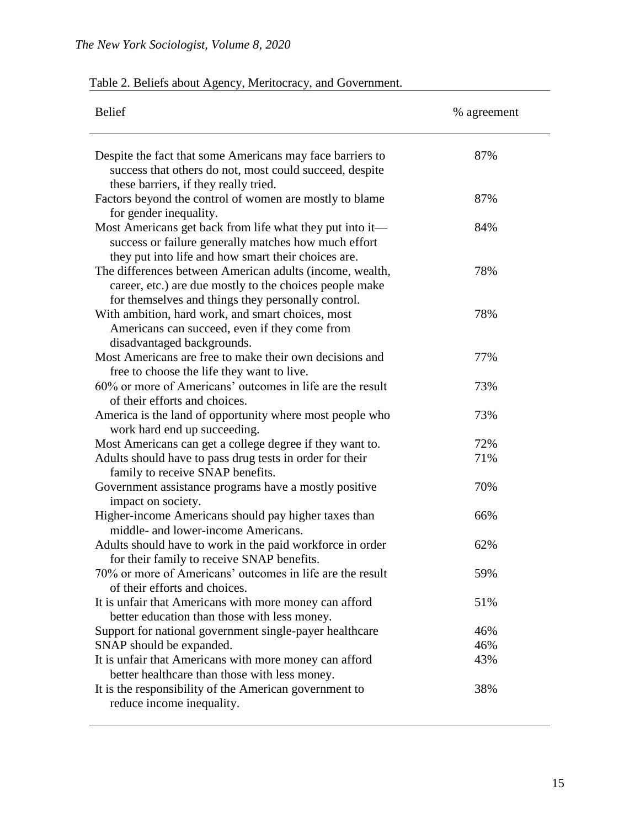|  | Table 2. Beliefs about Agency, Meritocracy, and Government. |  |  |
|--|-------------------------------------------------------------|--|--|
|  |                                                             |  |  |

| <b>Belief</b>                                                                                                                                                             | % agreement |
|---------------------------------------------------------------------------------------------------------------------------------------------------------------------------|-------------|
| Despite the fact that some Americans may face barriers to<br>success that others do not, most could succeed, despite<br>these barriers, if they really tried.             | 87%         |
| Factors beyond the control of women are mostly to blame<br>for gender inequality.                                                                                         | 87%         |
| Most Americans get back from life what they put into it—<br>success or failure generally matches how much effort<br>they put into life and how smart their choices are.   | 84%         |
| The differences between American adults (income, wealth,<br>career, etc.) are due mostly to the choices people make<br>for themselves and things they personally control. | 78%         |
| With ambition, hard work, and smart choices, most<br>Americans can succeed, even if they come from<br>disadvantaged backgrounds.                                          | 78%         |
| Most Americans are free to make their own decisions and<br>free to choose the life they want to live.                                                                     | 77%         |
| 60% or more of Americans' outcomes in life are the result<br>of their efforts and choices.                                                                                | 73%         |
| America is the land of opportunity where most people who<br>work hard end up succeeding.                                                                                  | 73%         |
| Most Americans can get a college degree if they want to.                                                                                                                  | 72%         |
| Adults should have to pass drug tests in order for their<br>family to receive SNAP benefits.                                                                              | 71%         |
| Government assistance programs have a mostly positive<br>impact on society.                                                                                               | 70%         |
| Higher-income Americans should pay higher taxes than<br>middle- and lower-income Americans.                                                                               | 66%         |
| Adults should have to work in the paid workforce in order<br>for their family to receive SNAP benefits.                                                                   | 62%         |
| 70% or more of Americans' outcomes in life are the result<br>of their efforts and choices.                                                                                | 59%         |
| It is unfair that Americans with more money can afford<br>better education than those with less money.                                                                    | 51%         |
| Support for national government single-payer healthcare                                                                                                                   | 46%         |
| SNAP should be expanded.                                                                                                                                                  | 46%         |
| It is unfair that Americans with more money can afford<br>better healthcare than those with less money.                                                                   | 43%         |
| It is the responsibility of the American government to<br>reduce income inequality.                                                                                       | 38%         |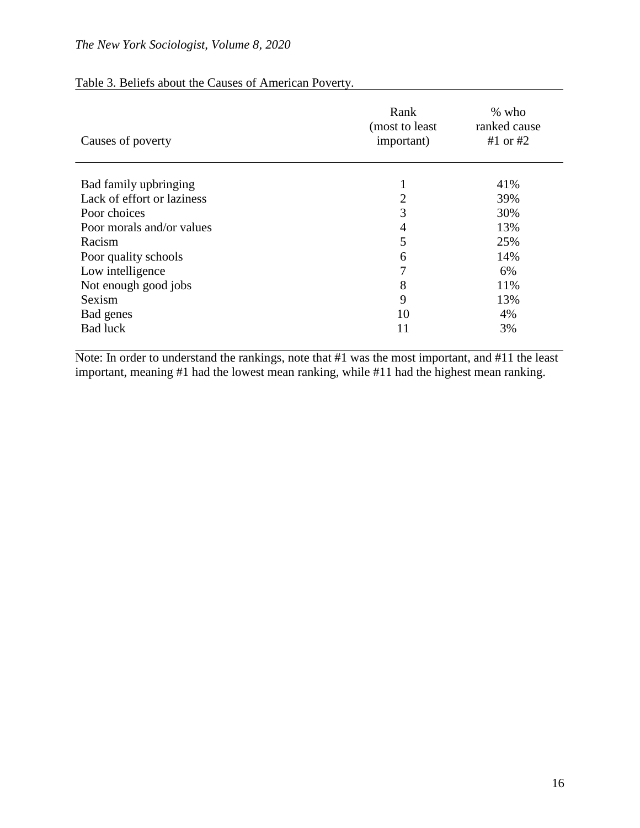| Causes of poverty          | Rank<br>(most to least)<br>important) | $%$ who<br>ranked cause<br>#1 or $#2$ |
|----------------------------|---------------------------------------|---------------------------------------|
| Bad family upbringing      | -                                     | 41%                                   |
| Lack of effort or laziness | $\overline{2}$                        | 39%                                   |
| Poor choices               | 3                                     | 30%                                   |
| Poor morals and/or values  | 4                                     | 13%                                   |
| Racism                     | 5                                     | 25%                                   |
| Poor quality schools       | 6                                     | 14%                                   |
| Low intelligence           | 7                                     | 6%                                    |
| Not enough good jobs       | 8                                     | 11%                                   |
| Sexism                     | 9                                     | 13%                                   |
| Bad genes                  | 10                                    | 4%                                    |
| <b>Bad luck</b>            | 11                                    | 3%                                    |

## Table 3. Beliefs about the Causes of American Poverty.

Note: In order to understand the rankings, note that #1 was the most important, and #11 the least important, meaning #1 had the lowest mean ranking, while #11 had the highest mean ranking.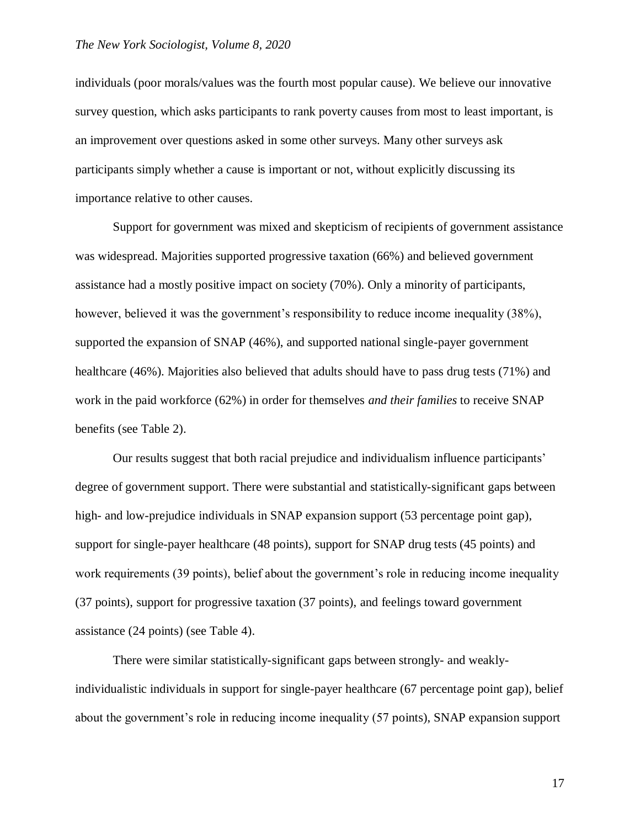individuals (poor morals/values was the fourth most popular cause). We believe our innovative survey question, which asks participants to rank poverty causes from most to least important, is an improvement over questions asked in some other surveys. Many other surveys ask participants simply whether a cause is important or not, without explicitly discussing its importance relative to other causes.

Support for government was mixed and skepticism of recipients of government assistance was widespread. Majorities supported progressive taxation (66%) and believed government assistance had a mostly positive impact on society (70%). Only a minority of participants, however, believed it was the government's responsibility to reduce income inequality (38%), supported the expansion of SNAP (46%), and supported national single-payer government healthcare (46%). Majorities also believed that adults should have to pass drug tests (71%) and work in the paid workforce (62%) in order for themselves *and their families* to receive SNAP benefits (see Table 2).

Our results suggest that both racial prejudice and individualism influence participants' degree of government support. There were substantial and statistically-significant gaps between high- and low-prejudice individuals in SNAP expansion support (53 percentage point gap), support for single-payer healthcare (48 points), support for SNAP drug tests (45 points) and work requirements (39 points), belief about the government's role in reducing income inequality (37 points), support for progressive taxation (37 points), and feelings toward government assistance (24 points) (see Table 4).

There were similar statistically-significant gaps between strongly- and weaklyindividualistic individuals in support for single-payer healthcare (67 percentage point gap), belief about the government's role in reducing income inequality (57 points), SNAP expansion support

17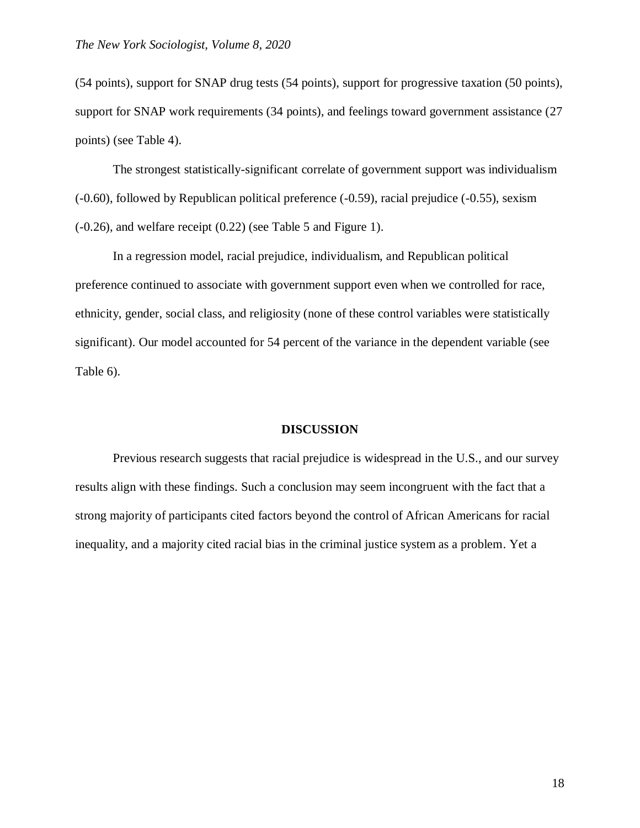(54 points), support for SNAP drug tests (54 points), support for progressive taxation (50 points), support for SNAP work requirements (34 points), and feelings toward government assistance (27 points) (see Table 4).

The strongest statistically-significant correlate of government support was individualism (-0.60), followed by Republican political preference (-0.59), racial prejudice (-0.55), sexism (-0.26), and welfare receipt (0.22) (see Table 5 and Figure 1).

In a regression model, racial prejudice, individualism, and Republican political preference continued to associate with government support even when we controlled for race, ethnicity, gender, social class, and religiosity (none of these control variables were statistically significant). Our model accounted for 54 percent of the variance in the dependent variable (see Table 6).

#### **DISCUSSION**

Previous research suggests that racial prejudice is widespread in the U.S., and our survey results align with these findings. Such a conclusion may seem incongruent with the fact that a strong majority of participants cited factors beyond the control of African Americans for racial inequality, and a majority cited racial bias in the criminal justice system as a problem. Yet a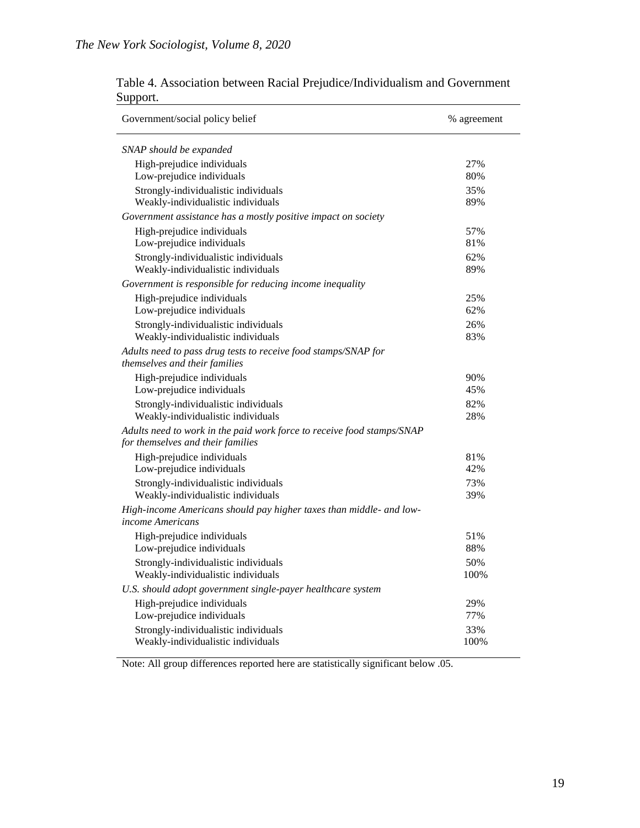| Government/social policy belief                                                                             | % agreement |
|-------------------------------------------------------------------------------------------------------------|-------------|
| SNAP should be expanded                                                                                     |             |
| High-prejudice individuals                                                                                  | 27%         |
| Low-prejudice individuals                                                                                   | 80%         |
| Strongly-individualistic individuals                                                                        | 35%         |
| Weakly-individualistic individuals                                                                          | 89%         |
| Government assistance has a mostly positive impact on society                                               |             |
| High-prejudice individuals                                                                                  | 57%         |
| Low-prejudice individuals                                                                                   | 81%         |
| Strongly-individualistic individuals                                                                        | 62%         |
| Weakly-individualistic individuals                                                                          | 89%         |
| Government is responsible for reducing income inequality                                                    |             |
| High-prejudice individuals<br>Low-prejudice individuals                                                     | 25%<br>62%  |
| Strongly-individualistic individuals                                                                        | 26%         |
| Weakly-individualistic individuals                                                                          | 83%         |
| Adults need to pass drug tests to receive food stamps/SNAP for                                              |             |
| themselves and their families                                                                               |             |
| High-prejudice individuals                                                                                  | 90%         |
| Low-prejudice individuals                                                                                   | 45%         |
| Strongly-individualistic individuals                                                                        | 82%         |
| Weakly-individualistic individuals                                                                          | 28%         |
| Adults need to work in the paid work force to receive food stamps/SNAP<br>for themselves and their families |             |
| High-prejudice individuals                                                                                  | 81%         |
| Low-prejudice individuals                                                                                   | 42%         |
| Strongly-individualistic individuals                                                                        | 73%         |
| Weakly-individualistic individuals                                                                          | 39%         |
| High-income Americans should pay higher taxes than middle- and low-<br><i>income Americans</i>              |             |
| High-prejudice individuals                                                                                  | 51%         |
| Low-prejudice individuals                                                                                   | 88%         |
| Strongly-individualistic individuals<br>Weakly-individualistic individuals                                  | 50%<br>100% |
| U.S. should adopt government single-payer healthcare system                                                 |             |
| High-prejudice individuals                                                                                  | 29%         |
| Low-prejudice individuals                                                                                   | 77%         |
| Strongly-individualistic individuals                                                                        | 33%         |
| Weakly-individualistic individuals                                                                          | 100%        |

Table 4. Association between Racial Prejudice/Individualism and Government Support.

Note: All group differences reported here are statistically significant below .05.

÷.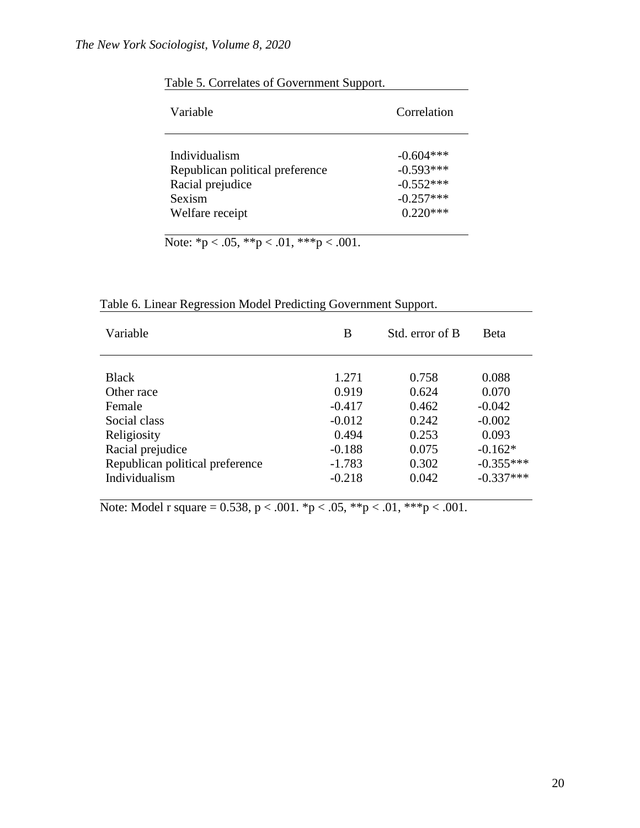| Variable                        | Correlation |  |  |
|---------------------------------|-------------|--|--|
| Individualism                   | $-0.604***$ |  |  |
| Republican political preference | $-0.593***$ |  |  |
| Racial prejudice                | $-0.552***$ |  |  |
| Sexism                          | $-0.257***$ |  |  |
| Welfare receipt                 | $0.220***$  |  |  |

Table 5. Correlates of Government Support.

Note:  $p < .05$ ,  $\sqrt[k]{p} < .01$ ,  $\sqrt[k]{p} < .001$ .

| Table 6. Linear Regression Model Predicting Government Support. |  |                                               |  |  |  |
|-----------------------------------------------------------------|--|-----------------------------------------------|--|--|--|
| <b>Warishla</b>                                                 |  | $R_{\rm t}$ arror of $R_{\rm t}$ $R_{\rm at}$ |  |  |  |

| Variable                        | B        | Std. error of B | Beta        |
|---------------------------------|----------|-----------------|-------------|
|                                 |          |                 |             |
| <b>Black</b>                    | 1.271    | 0.758           | 0.088       |
| Other race                      | 0.919    | 0.624           | 0.070       |
| Female                          | $-0.417$ | 0.462           | $-0.042$    |
| Social class                    | $-0.012$ | 0.242           | $-0.002$    |
| Religiosity                     | 0.494    | 0.253           | 0.093       |
| Racial prejudice                | $-0.188$ | 0.075           | $-0.162*$   |
| Republican political preference | $-1.783$ | 0.302           | $-0.355***$ |
| Individualism                   | $-0.218$ | 0.042           | $-0.337***$ |
|                                 |          |                 |             |

Note: Model r square = 0.538,  $p < .001$ . \*p  $< .05$ , \*\*p  $< .01$ , \*\*\*p  $< .001$ .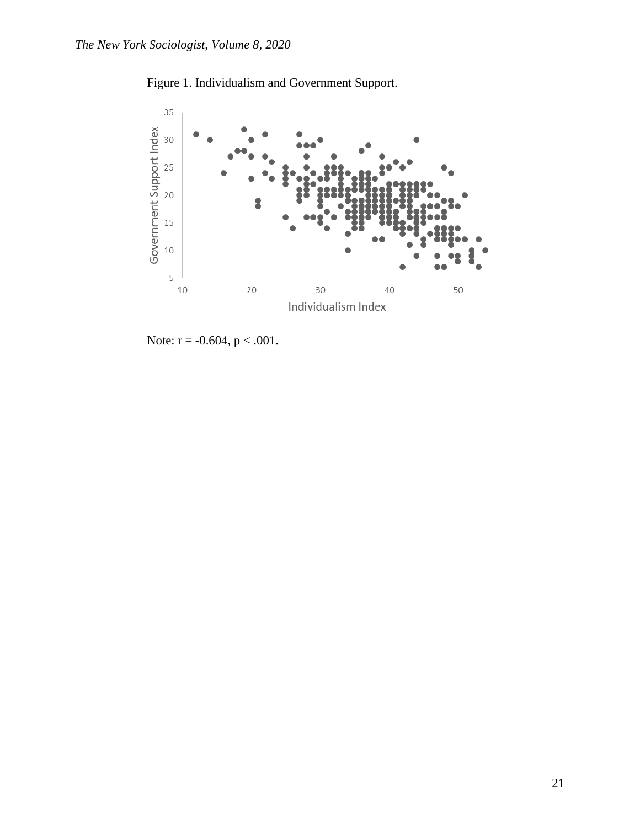



Note:  $r = -0.604$ ,  $p < .001$ .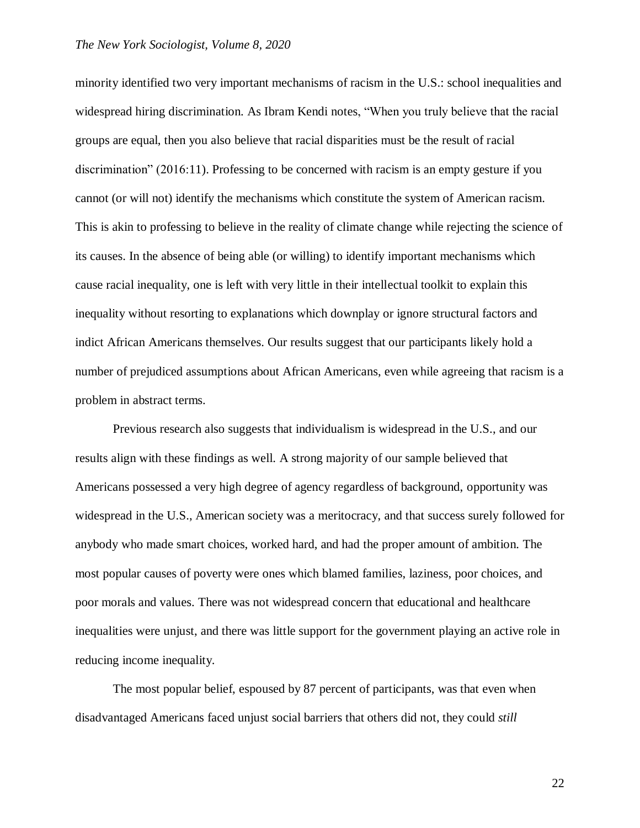#### *The New York Sociologist, Volume 8, 2020*

minority identified two very important mechanisms of racism in the U.S.: school inequalities and widespread hiring discrimination. As Ibram Kendi notes, "When you truly believe that the racial groups are equal, then you also believe that racial disparities must be the result of racial discrimination" (2016:11). Professing to be concerned with racism is an empty gesture if you cannot (or will not) identify the mechanisms which constitute the system of American racism. This is akin to professing to believe in the reality of climate change while rejecting the science of its causes. In the absence of being able (or willing) to identify important mechanisms which cause racial inequality, one is left with very little in their intellectual toolkit to explain this inequality without resorting to explanations which downplay or ignore structural factors and indict African Americans themselves. Our results suggest that our participants likely hold a number of prejudiced assumptions about African Americans, even while agreeing that racism is a problem in abstract terms.

Previous research also suggests that individualism is widespread in the U.S., and our results align with these findings as well. A strong majority of our sample believed that Americans possessed a very high degree of agency regardless of background, opportunity was widespread in the U.S., American society was a meritocracy, and that success surely followed for anybody who made smart choices, worked hard, and had the proper amount of ambition. The most popular causes of poverty were ones which blamed families, laziness, poor choices, and poor morals and values. There was not widespread concern that educational and healthcare inequalities were unjust, and there was little support for the government playing an active role in reducing income inequality.

The most popular belief, espoused by 87 percent of participants, was that even when disadvantaged Americans faced unjust social barriers that others did not, they could *still*

22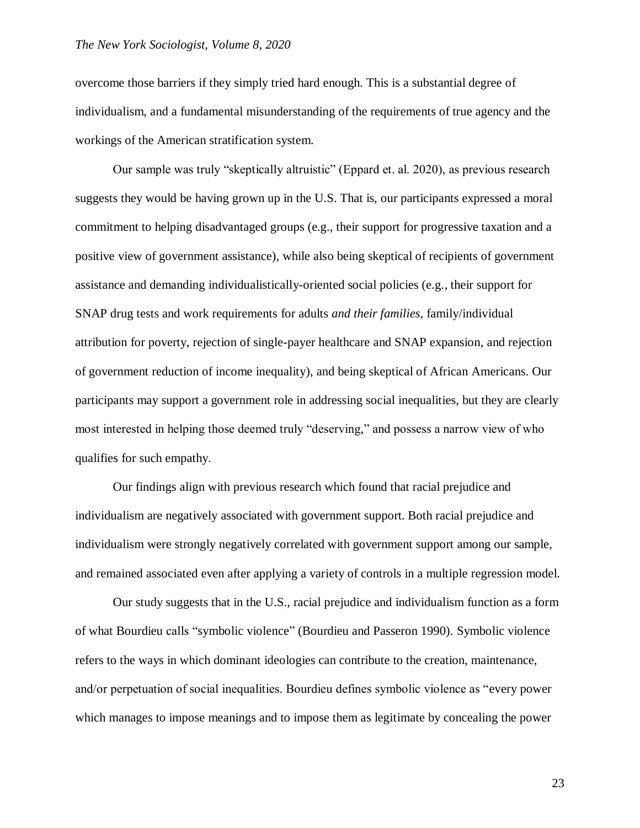overcome those barriers if they simply tried hard enough. This is a substantial degree of individualism, and a fundamental misunderstanding of the requirements of true agency and the workings of the American stratification system.

Our sample was truly "skeptically altruistic" (Eppard et. al. 2020), as previous research suggests they would be having grown up in the U.S. That is, our participants expressed a moral commitment to helping disadvantaged groups (e.g., their support for progressive taxation and a positive view of government assistance), while also being skeptical of recipients of government assistance and demanding individualistically-oriented social policies (e.g., their support for SNAP drug tests and work requirements for adults *and their families*, family/individual attribution for poverty, rejection of single-payer healthcare and SNAP expansion, and rejection of government reduction of income inequality), and being skeptical of African Americans. Our participants may support a government role in addressing social inequalities, but they are clearly most interested in helping those deemed truly "deserving," and possess a narrow view of who qualifies for such empathy.

Our findings align with previous research which found that racial prejudice and individualism are negatively associated with government support. Both racial prejudice and individualism were strongly negatively correlated with government support among our sample, and remained associated even after applying a variety of controls in a multiple regression model.

Our study suggests that in the U.S., racial prejudice and individualism function as a form of what Bourdieu calls "symbolic violence" (Bourdieu and Passeron 1990). Symbolic violence refers to the ways in which dominant ideologies can contribute to the creation, maintenance, and/or perpetuation of social inequalities. Bourdieu defines symbolic violence as "every power which manages to impose meanings and to impose them as legitimate by concealing the power

23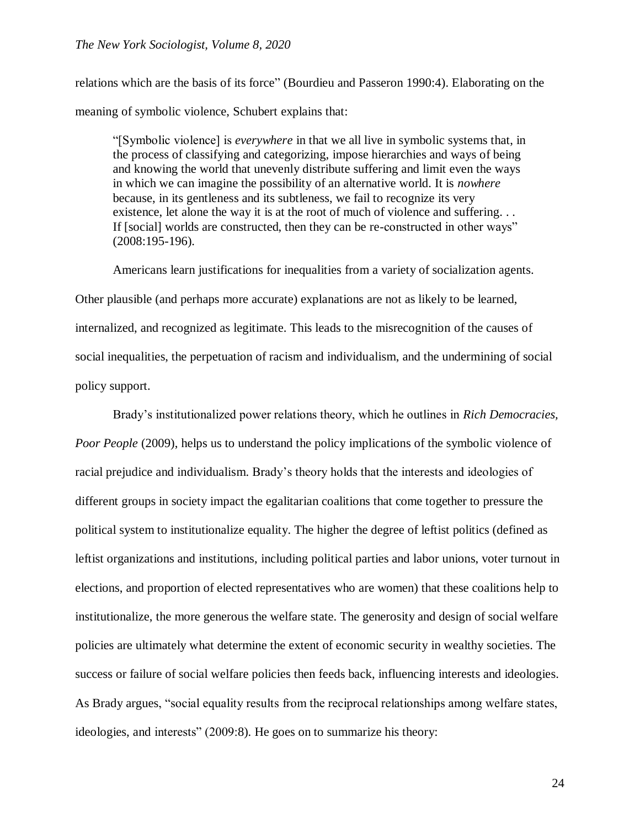#### *The New York Sociologist, Volume 8, 2020*

relations which are the basis of its force" (Bourdieu and Passeron 1990:4). Elaborating on the meaning of symbolic violence, Schubert explains that:

"[Symbolic violence] is *everywhere* in that we all live in symbolic systems that, in the process of classifying and categorizing, impose hierarchies and ways of being and knowing the world that unevenly distribute suffering and limit even the ways in which we can imagine the possibility of an alternative world. It is *nowhere* because, in its gentleness and its subtleness, we fail to recognize its very existence, let alone the way it is at the root of much of violence and suffering. . . If [social] worlds are constructed, then they can be re-constructed in other ways" (2008:195-196).

Americans learn justifications for inequalities from a variety of socialization agents.

Other plausible (and perhaps more accurate) explanations are not as likely to be learned, internalized, and recognized as legitimate. This leads to the misrecognition of the causes of social inequalities, the perpetuation of racism and individualism, and the undermining of social policy support.

Brady's institutionalized power relations theory, which he outlines in *Rich Democracies, Poor People* (2009), helps us to understand the policy implications of the symbolic violence of racial prejudice and individualism. Brady's theory holds that the interests and ideologies of different groups in society impact the egalitarian coalitions that come together to pressure the political system to institutionalize equality. The higher the degree of leftist politics (defined as leftist organizations and institutions, including political parties and labor unions, voter turnout in elections, and proportion of elected representatives who are women) that these coalitions help to institutionalize, the more generous the welfare state. The generosity and design of social welfare policies are ultimately what determine the extent of economic security in wealthy societies. The success or failure of social welfare policies then feeds back, influencing interests and ideologies. As Brady argues, "social equality results from the reciprocal relationships among welfare states, ideologies, and interests" (2009:8). He goes on to summarize his theory: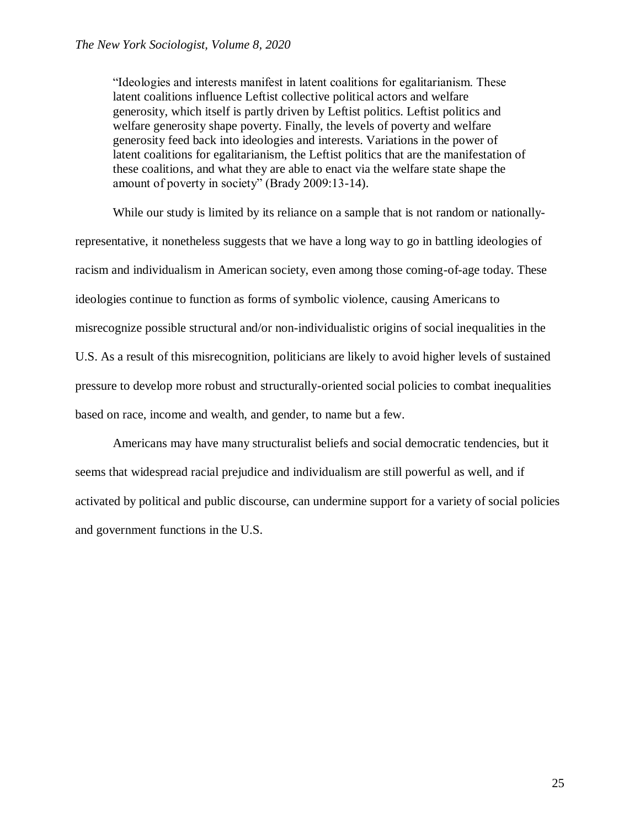"Ideologies and interests manifest in latent coalitions for egalitarianism. These latent coalitions influence Leftist collective political actors and welfare generosity, which itself is partly driven by Leftist politics. Leftist politics and welfare generosity shape poverty. Finally, the levels of poverty and welfare generosity feed back into ideologies and interests. Variations in the power of latent coalitions for egalitarianism, the Leftist politics that are the manifestation of these coalitions, and what they are able to enact via the welfare state shape the amount of poverty in society" (Brady 2009:13-14).

While our study is limited by its reliance on a sample that is not random or nationallyrepresentative, it nonetheless suggests that we have a long way to go in battling ideologies of racism and individualism in American society, even among those coming-of-age today. These ideologies continue to function as forms of symbolic violence, causing Americans to misrecognize possible structural and/or non-individualistic origins of social inequalities in the U.S. As a result of this misrecognition, politicians are likely to avoid higher levels of sustained pressure to develop more robust and structurally-oriented social policies to combat inequalities based on race, income and wealth, and gender, to name but a few.

Americans may have many structuralist beliefs and social democratic tendencies, but it seems that widespread racial prejudice and individualism are still powerful as well, and if activated by political and public discourse, can undermine support for a variety of social policies and government functions in the U.S.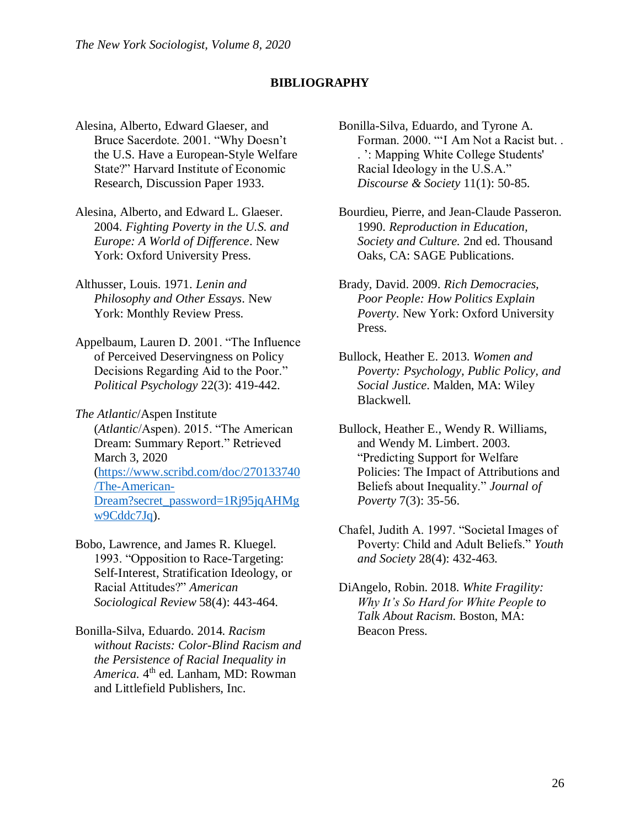## **BIBLIOGRAPHY**

- Alesina, Alberto, Edward Glaeser, and Bruce Sacerdote. 2001. "Why Doesn't the U.S. Have a European-Style Welfare State?" Harvard Institute of Economic Research, Discussion Paper 1933.
- Alesina, Alberto, and Edward L. Glaeser. 2004. *Fighting Poverty in the U.S. and Europe: A World of Difference*. New York: Oxford University Press.
- Althusser, Louis. 1971. *Lenin and Philosophy and Other Essays*. New York: Monthly Review Press.
- Appelbaum, Lauren D. 2001. "The Influence of Perceived Deservingness on Policy Decisions Regarding Aid to the Poor." *Political Psychology* 22(3): 419-442.
- *The Atlantic*/Aspen Institute (*Atlantic*/Aspen). 2015. "The American Dream: Summary Report." Retrieved March 3, 2020 [\(https://www.scribd.com/doc/270133740](https://www.scribd.com/doc/270133740/The-American-Dream?secret_password=1Rj95jqAHMgw9Cddc7Jq) [/The-American-](https://www.scribd.com/doc/270133740/The-American-Dream?secret_password=1Rj95jqAHMgw9Cddc7Jq)[Dream?secret\\_password=1Rj95jqAHMg](https://www.scribd.com/doc/270133740/The-American-Dream?secret_password=1Rj95jqAHMgw9Cddc7Jq) [w9Cddc7Jq\)](https://www.scribd.com/doc/270133740/The-American-Dream?secret_password=1Rj95jqAHMgw9Cddc7Jq).
- Bobo, Lawrence, and James R. Kluegel. 1993. "Opposition to Race-Targeting: Self-Interest, Stratification Ideology, or Racial Attitudes?" *American Sociological Review* 58(4): 443-464.
- Bonilla-Silva, Eduardo. 2014. *Racism without Racists: Color-Blind Racism and the Persistence of Racial Inequality in America.* 4 th ed. Lanham, MD: Rowman and Littlefield Publishers, Inc.
- Bonilla-Silva, Eduardo, and Tyrone A. Forman. 2000. "'I Am Not a Racist but. . . ': Mapping White College Students' Racial Ideology in the U.S.A." *Discourse & Society* 11(1): 50-85.
- Bourdieu, Pierre, and Jean-Claude Passeron. 1990. *Reproduction in Education, Society and Culture.* 2nd ed. Thousand Oaks, CA: SAGE Publications.
- Brady, David. 2009. *Rich Democracies, Poor People: How Politics Explain Poverty*. New York: Oxford University Press.
- Bullock, Heather E. 2013. *Women and Poverty: Psychology, Public Policy, and Social Justice*. Malden, MA: Wiley Blackwell.
- Bullock, Heather E., Wendy R. Williams, and Wendy M. Limbert. 2003. "Predicting Support for Welfare Policies: The Impact of Attributions and Beliefs about Inequality." *Journal of Poverty* 7(3): 35-56.
- Chafel, Judith A. 1997. "Societal Images of Poverty: Child and Adult Beliefs." *Youth and Society* 28(4): 432-463.
- DiAngelo, Robin. 2018. *White Fragility: Why It's So Hard for White People to Talk About Racism.* Boston, MA: Beacon Press.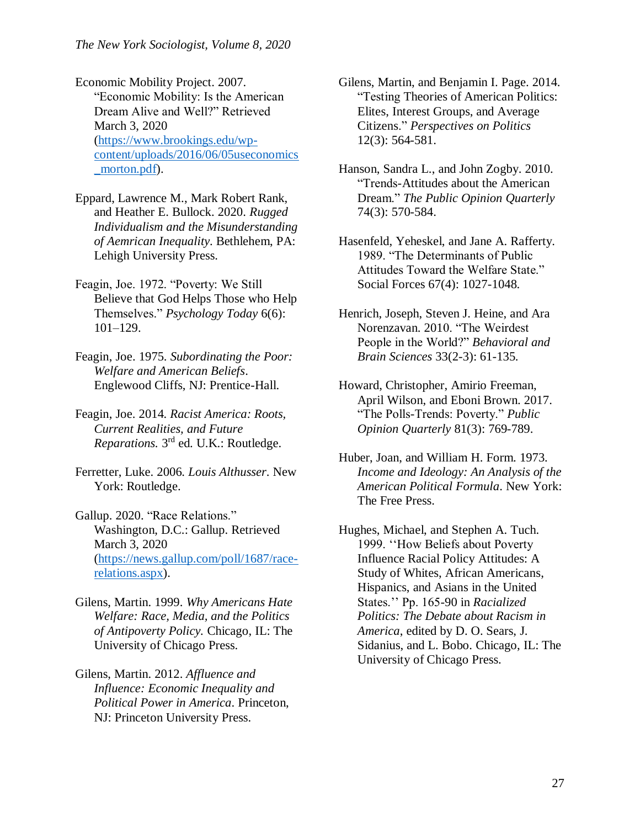Economic Mobility Project. 2007. "Economic Mobility: Is the American Dream Alive and Well?" Retrieved March 3, 2020 [\(https://www.brookings.edu/wp](https://www.brookings.edu/wp-content/uploads/2016/06/05useconomics_morton.pdf)[content/uploads/2016/06/05useconomics](https://www.brookings.edu/wp-content/uploads/2016/06/05useconomics_morton.pdf) morton.pdf).

- Eppard, Lawrence M., Mark Robert Rank, and Heather E. Bullock. 2020. *Rugged Individualism and the Misunderstanding of Aemrican Inequality*. Bethlehem, PA: Lehigh University Press.
- Feagin, Joe. 1972. "Poverty: We Still Believe that God Helps Those who Help Themselves." *Psychology Today* 6(6): 101–129.
- Feagin, Joe. 1975. *Subordinating the Poor: Welfare and American Beliefs*. Englewood Cliffs, NJ: Prentice-Hall.
- Feagin, Joe. 2014. *Racist America: Roots, Current Realities, and Future*  Reparations. 3<sup>rd</sup> ed. U.K.: Routledge.
- Ferretter, Luke. 2006. *Louis Althusser*. New York: Routledge.
- Gallup. 2020. "Race Relations." Washington, D.C.: Gallup. Retrieved March 3, 2020 [\(https://news.gallup.com/poll/1687/race](https://news.gallup.com/poll/1687/race-relations.aspx)[relations.aspx\)](https://news.gallup.com/poll/1687/race-relations.aspx).
- Gilens, Martin. 1999. *Why Americans Hate Welfare: Race, Media, and the Politics of Antipoverty Policy.* Chicago, IL: The University of Chicago Press.
- Gilens, Martin. 2012. *Affluence and Influence: Economic Inequality and Political Power in America*. Princeton, NJ: Princeton University Press.
- Gilens, Martin, and Benjamin I. Page. 2014. "Testing Theories of American Politics: Elites, Interest Groups, and Average Citizens." *Perspectives on Politics* 12(3): 564-581.
- Hanson, Sandra L., and John Zogby. 2010. "Trends-Attitudes about the American Dream." *The Public Opinion Quarterly*  74(3): 570-584.
- Hasenfeld, Yeheskel, and Jane A. Rafferty. 1989. "The Determinants of Public Attitudes Toward the Welfare State." Social Forces 67(4): 1027-1048.
- Henrich, Joseph, Steven J. Heine, and Ara Norenzavan. 2010. "The Weirdest People in the World?" *Behavioral and Brain Sciences* 33(2-3): 61-135.
- Howard, Christopher, Amirio Freeman, April Wilson, and Eboni Brown. 2017. "The Polls-Trends: Poverty." *Public Opinion Quarterly* 81(3): 769-789.
- Huber, Joan, and William H. Form. 1973*. Income and Ideology: An Analysis of the American Political Formula*. New York: The Free Press.
- Hughes, Michael, and Stephen A. Tuch. 1999. ''How Beliefs about Poverty Influence Racial Policy Attitudes: A Study of Whites, African Americans, Hispanics, and Asians in the United States.'' Pp. 165-90 in *Racialized Politics: The Debate about Racism in America*, edited by D. O. Sears, J. Sidanius, and L. Bobo. Chicago, IL: The University of Chicago Press.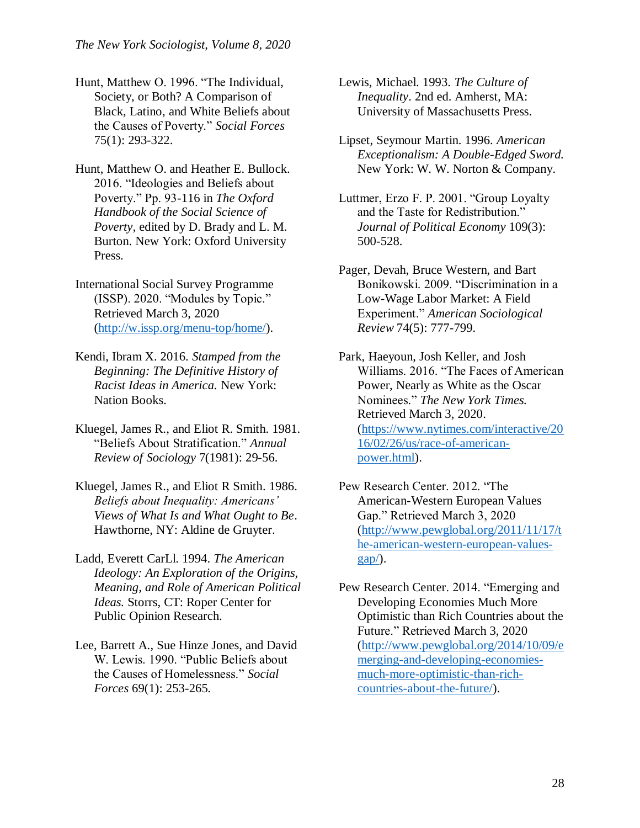- Hunt, Matthew O. 1996. "The Individual, Society, or Both? A Comparison of Black, Latino, and White Beliefs about the Causes of Poverty." *Social Forces* 75(1): 293-322.
- Hunt, Matthew O. and Heather E. Bullock. 2016. "Ideologies and Beliefs about Poverty." Pp. 93-116 in *The Oxford Handbook of the Social Science of Poverty,* edited by D. Brady and L. M. Burton. New York: Oxford University Press.
- International Social Survey Programme (ISSP). 2020. "Modules by Topic." Retrieved March 3, 2020 [\(http://w.issp.org/menu-top/home/\)](http://w.issp.org/menu-top/home/).
- Kendi, Ibram X. 2016. *Stamped from the Beginning: The Definitive History of Racist Ideas in America.* New York: Nation Books.
- Kluegel, James R., and Eliot R. Smith. 1981. "Beliefs About Stratification." *Annual Review of Sociology* 7(1981): 29-56.
- Kluegel, James R., and Eliot R Smith. 1986. *Beliefs about Inequality: Americans' Views of What Is and What Ought to Be*. Hawthorne, NY: Aldine de Gruyter.
- Ladd, Everett CarLl. 1994. *The American Ideology: An Exploration of the Origins, Meaning, and Role of American Political Ideas.* Storrs, CT: Roper Center for Public Opinion Research.
- Lee, Barrett A., Sue Hinze Jones, and David W. Lewis. 1990. "Public Beliefs about the Causes of Homelessness." *Social Forces* 69(1): 253-265.
- Lewis, Michael. 1993. *The Culture of Inequality*. 2nd ed. Amherst, MA: University of Massachusetts Press.
- Lipset, Seymour Martin. 1996. *American Exceptionalism: A Double-Edged Sword.*  New York: W. W. Norton & Company.
- Luttmer, Erzo F. P. 2001. "Group Loyalty and the Taste for Redistribution." *Journal of Political Economy* 109(3): 500-528.
- Pager, Devah, Bruce Western, and Bart Bonikowski. 2009. "Discrimination in a Low-Wage Labor Market: A Field Experiment." *American Sociological Review* 74(5): 777-799.
- Park, Haeyoun, Josh Keller, and Josh Williams. 2016. "The Faces of American Power, Nearly as White as the Oscar Nominees." *The New York Times.*  Retrieved March 3, 2020. [\(https://www.nytimes.com/interactive/20](https://www.nytimes.com/interactive/2016/02/26/us/race-of-american-power.html) [16/02/26/us/race-of-american](https://www.nytimes.com/interactive/2016/02/26/us/race-of-american-power.html)[power.html\)](https://www.nytimes.com/interactive/2016/02/26/us/race-of-american-power.html).
- Pew Research Center. 2012. "The American-Western European Values Gap." Retrieved March 3, 2020 [\(http://www.pewglobal.org/2011/11/17/t](http://www.pewglobal.org/2011/11/17/the-american-western-european-values-gap/) [he-american-western-european-values](http://www.pewglobal.org/2011/11/17/the-american-western-european-values-gap/)[gap/\)](http://www.pewglobal.org/2011/11/17/the-american-western-european-values-gap/).
- Pew Research Center. 2014. "Emerging and Developing Economies Much More Optimistic than Rich Countries about the Future." Retrieved March 3, 2020 [\(http://www.pewglobal.org/2014/10/09/e](http://www.pewglobal.org/2014/10/09/emerging-and-developing-economies-much-more-optimistic-than-rich-countries-about-the-future/) [merging-and-developing-economies](http://www.pewglobal.org/2014/10/09/emerging-and-developing-economies-much-more-optimistic-than-rich-countries-about-the-future/)[much-more-optimistic-than-rich](http://www.pewglobal.org/2014/10/09/emerging-and-developing-economies-much-more-optimistic-than-rich-countries-about-the-future/)[countries-about-the-future/\)](http://www.pewglobal.org/2014/10/09/emerging-and-developing-economies-much-more-optimistic-than-rich-countries-about-the-future/).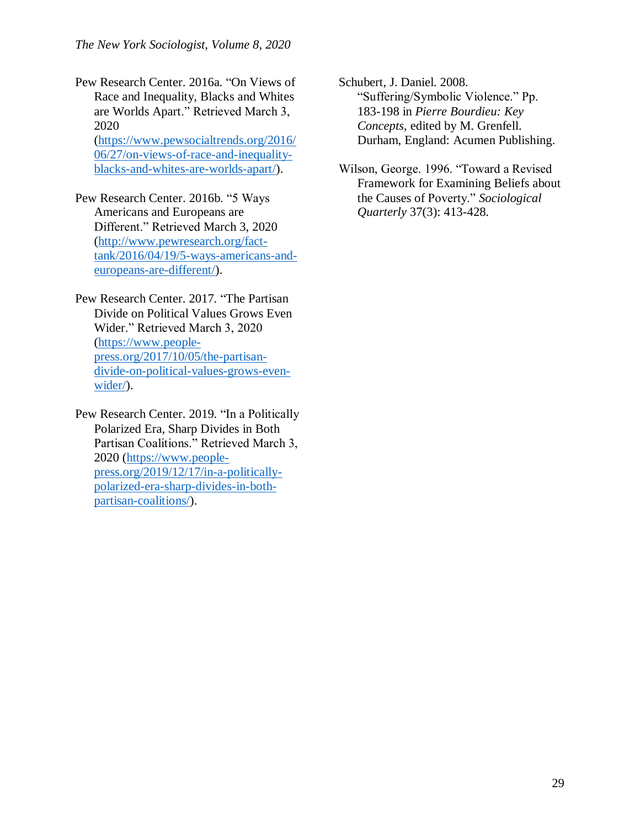Pew Research Center. 2016a. "On Views of Race and Inequality, Blacks and Whites are Worlds Apart." Retrieved March 3, 2020 [\(https://www.pewsocialtrends.org/2016/](https://www.pewsocialtrends.org/2016/06/27/on-views-of-race-and-inequality-blacks-and-whites-are-worlds-apart/)

[06/27/on-views-of-race-and-inequality](https://www.pewsocialtrends.org/2016/06/27/on-views-of-race-and-inequality-blacks-and-whites-are-worlds-apart/)[blacks-and-whites-are-worlds-apart/\)](https://www.pewsocialtrends.org/2016/06/27/on-views-of-race-and-inequality-blacks-and-whites-are-worlds-apart/).

Pew Research Center. 2016b. "5 Ways Americans and Europeans are Different." Retrieved March 3, 2020 [\(http://www.pewresearch.org/fact](http://www.pewresearch.org/fact-tank/2016/04/19/5-ways-americans-and-europeans-are-different/)[tank/2016/04/19/5-ways-americans-and](http://www.pewresearch.org/fact-tank/2016/04/19/5-ways-americans-and-europeans-are-different/)[europeans-are-different/\)](http://www.pewresearch.org/fact-tank/2016/04/19/5-ways-americans-and-europeans-are-different/).

Pew Research Center. 2017. "The Partisan Divide on Political Values Grows Even Wider." Retrieved March 3, 2020 [\(https://www.people](https://www.people-press.org/2017/10/05/the-partisan-divide-on-political-values-grows-even-wider/)[press.org/2017/10/05/the-partisan](https://www.people-press.org/2017/10/05/the-partisan-divide-on-political-values-grows-even-wider/)[divide-on-political-values-grows-even](https://www.people-press.org/2017/10/05/the-partisan-divide-on-political-values-grows-even-wider/)[wider/\)](https://www.people-press.org/2017/10/05/the-partisan-divide-on-political-values-grows-even-wider/).

Pew Research Center. 2019. "In a Politically Polarized Era, Sharp Divides in Both Partisan Coalitions." Retrieved March 3, 2020 [\(https://www.people](https://www.people-press.org/2019/12/17/in-a-politically-polarized-era-sharp-divides-in-both-partisan-coalitions/)[press.org/2019/12/17/in-a-politically](https://www.people-press.org/2019/12/17/in-a-politically-polarized-era-sharp-divides-in-both-partisan-coalitions/)[polarized-era-sharp-divides-in-both](https://www.people-press.org/2019/12/17/in-a-politically-polarized-era-sharp-divides-in-both-partisan-coalitions/)[partisan-coalitions/\)](https://www.people-press.org/2019/12/17/in-a-politically-polarized-era-sharp-divides-in-both-partisan-coalitions/).

Schubert, J. Daniel. 2008. "Suffering/Symbolic Violence." Pp. 183-198 in *Pierre Bourdieu: Key Concepts*, edited by M. Grenfell. Durham, England: Acumen Publishing.

Wilson, George. 1996. "Toward a Revised Framework for Examining Beliefs about the Causes of Poverty." *Sociological Quarterly* 37(3): 413-428.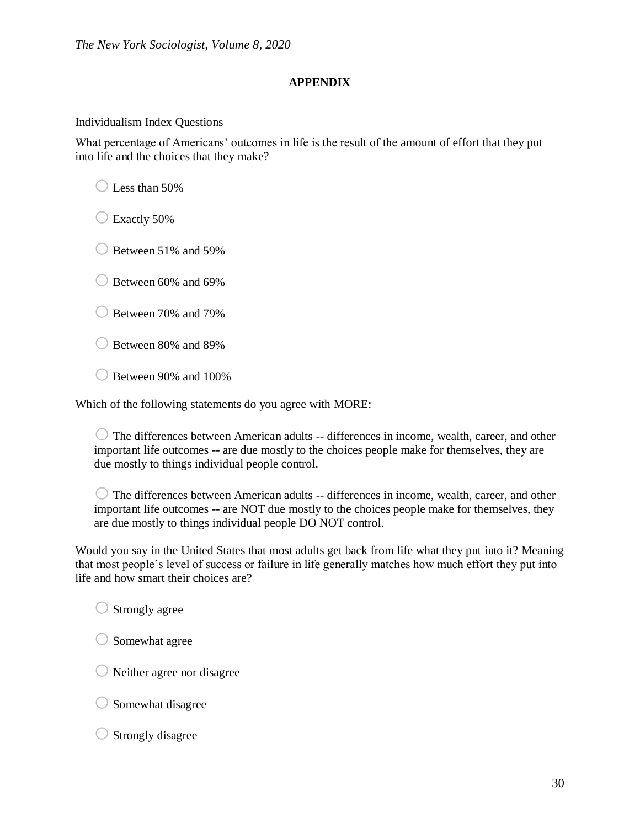## **APPENDIX**

## Individualism Index Questions

What percentage of Americans' outcomes in life is the result of the amount of effort that they put into life and the choices that they make?

 $\bigcirc$  Less than 50%

 $\bigcirc$  Exactly 50%

 $\bigcirc$  Between 51% and 59%

 $\bigcirc$  Between 60% and 69%

 $\bigcirc$  Between 70% and 79%

o Between 80% and 89%

 $\bigcirc$  Between 90% and 100%

Which of the following statements do you agree with MORE:

 $\bigcirc$  The differences between American adults -- differences in income, wealth, career, and other important life outcomes -- are due mostly to the choices people make for themselves, they are due mostly to things individual people control.

 $\bigcirc$  The differences between American adults -- differences in income, wealth, career, and other important life outcomes -- are NOT due mostly to the choices people make for themselves, they are due mostly to things individual people DO NOT control.

Would you say in the United States that most adults get back from life what they put into it? Meaning that most people's level of success or failure in life generally matches how much effort they put into life and how smart their choices are?

 $\bigcirc$  Strongly agree

 $\bigcirc$  Somewhat agree

 $\bigcirc$  Neither agree nor disagree

 $\bigcirc$  Somewhat disagree

 $\bigcirc$  Strongly disagree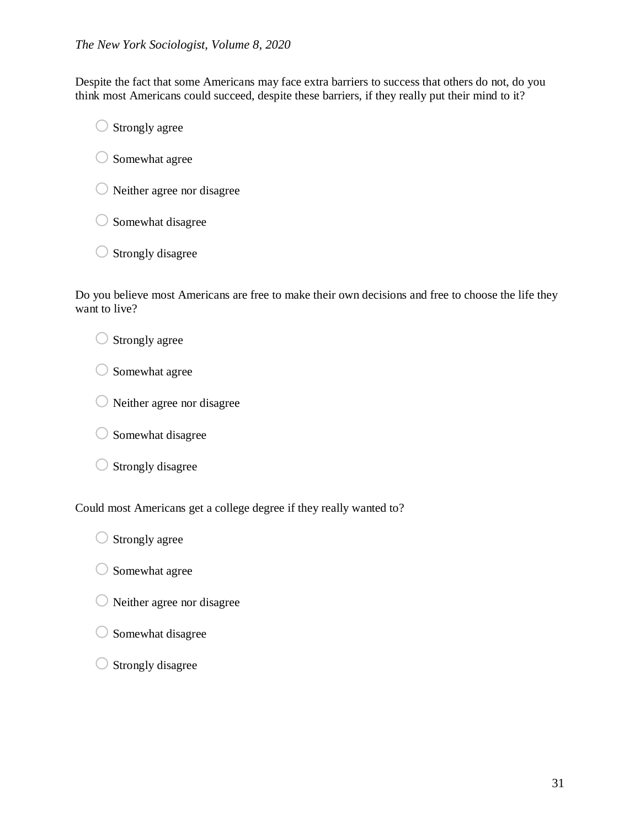Despite the fact that some Americans may face extra barriers to success that others do not, do you think most Americans could succeed, despite these barriers, if they really put their mind to it?

 $\bigcirc$  Strongly agree

 $\bigcirc$  Somewhat agree

 $\bigcirc$  Neither agree nor disagree

- $\bigcirc$  Somewhat disagree
- $\bigcirc$  Strongly disagree

Do you believe most Americans are free to make their own decisions and free to choose the life they want to live?

 $\bigcirc$  Strongly agree

 $\bigcirc$  Somewhat agree

- $\bigcirc$  Neither agree nor disagree
- $\bigcirc$  Somewhat disagree
- $\bigcirc$  Strongly disagree

Could most Americans get a college degree if they really wanted to?

- $\bigcirc$  Strongly agree
- $\bigcirc$  Somewhat agree
- $\bigcirc$  Neither agree nor disagree
- $\bigcirc$  Somewhat disagree
- $\bigcirc$  Strongly disagree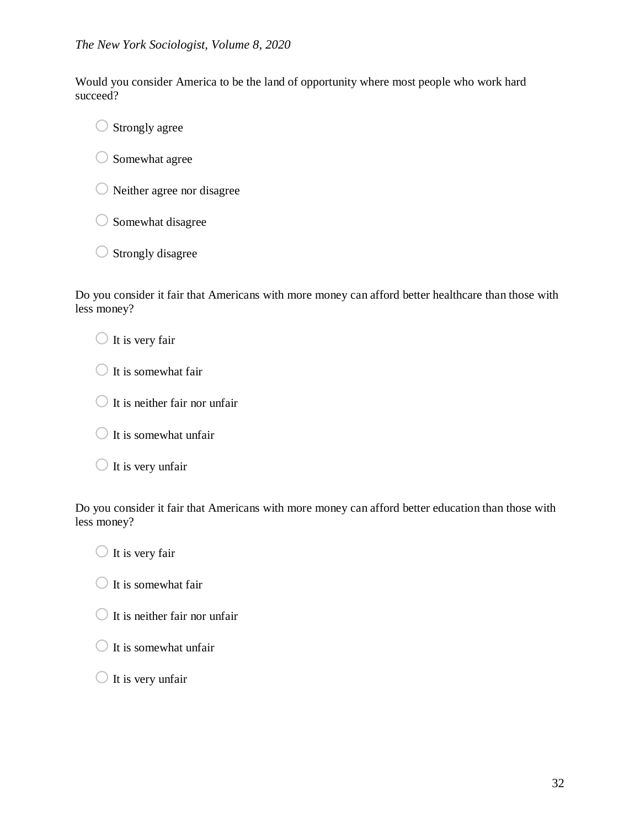Would you consider America to be the land of opportunity where most people who work hard succeed?

 $\bigcirc$  Strongly agree

 $\bigcirc$  Somewhat agree

 $\bigcirc$  Neither agree nor disagree

 $\bigcirc$  Somewhat disagree

 $\bigcirc$  Strongly disagree

Do you consider it fair that Americans with more money can afford better healthcare than those with less money?

 $\bigcirc$  It is very fair

 $\bigcirc$  It is somewhat fair

 $\bigcirc$  It is neither fair nor unfair

 $\bigcirc$  It is somewhat unfair

 $\bigcirc$  It is very unfair

Do you consider it fair that Americans with more money can afford better education than those with less money?

 $\bigcirc$  It is very fair

 $\bigcirc$  It is somewhat fair

 $\bigcirc$  It is neither fair nor unfair

 $\bigcirc$  It is somewhat unfair

 $\bigcirc$  It is very unfair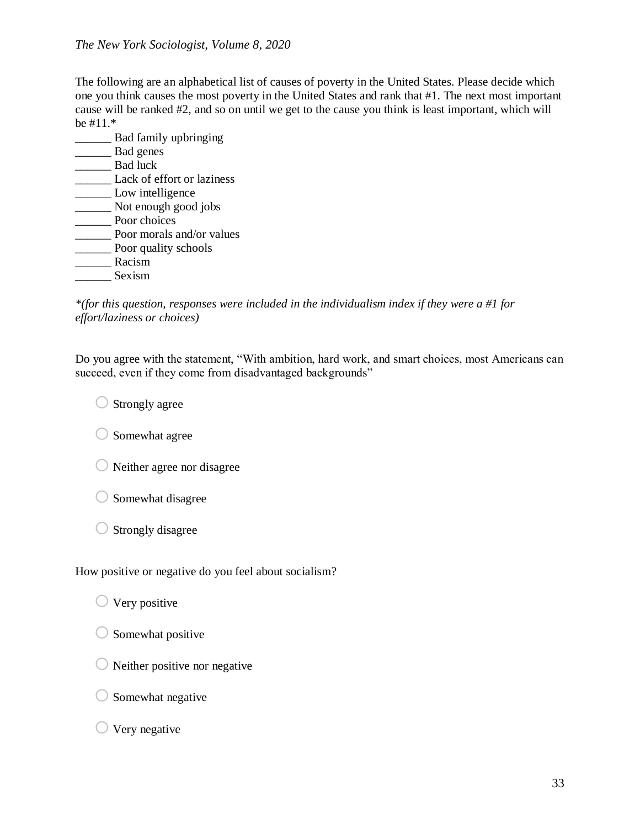## *The New York Sociologist, Volume 8, 2020*

The following are an alphabetical list of causes of poverty in the United States. Please decide which one you think causes the most poverty in the United States and rank that #1. The next most important cause will be ranked #2, and so on until we get to the cause you think is least important, which will be #11.\*

\_\_\_\_\_\_ Bad family upbringing Bad genes \_\_\_\_\_\_ Bad luck Lack of effort or laziness **Low intelligence** \_\_\_\_\_\_ Not enough good jobs **EXECUTE:** Poor choices \_\_\_\_\_\_ Poor morals and/or values \_\_\_\_\_\_ Poor quality schools \_\_\_\_\_\_ Racism \_\_\_\_\_\_ Sexism

*\*(for this question, responses were included in the individualism index if they were a #1 for effort/laziness or choices)*

Do you agree with the statement, "With ambition, hard work, and smart choices, most Americans can succeed, even if they come from disadvantaged backgrounds"

 $\bigcirc$  Strongly agree

 $\bigcirc$  Somewhat agree

- $\bigcirc$  Neither agree nor disagree
- $\bigcirc$  Somewhat disagree
- $\bigcirc$  Strongly disagree

How positive or negative do you feel about socialism?

- $\bigcirc$  Very positive
- $\bigcirc$  Somewhat positive
- $\bigcirc$  Neither positive nor negative
- $\bigcirc$  Somewhat negative

## $\bigcirc$  Very negative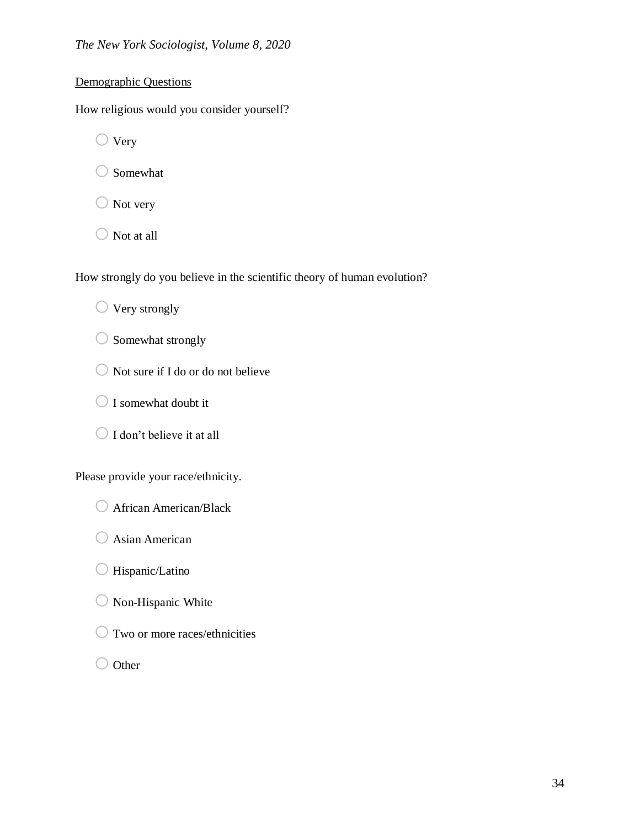## Demographic Questions

How religious would you consider yourself?

 $\bigcirc$  Very

 $\bigcirc$  Somewhat

- $\bigcirc$  Not very
- $\bigcirc$  Not at all

How strongly do you believe in the scientific theory of human evolution?

 $\bigcirc$  Very strongly

- $\bigcirc$  Somewhat strongly
- $\bigcirc$  Not sure if I do or do not believe
- O I somewhat doubt it
- $\bigcirc$  I don't believe it at all

Please provide your race/ethnicity.

- O African American/Black
- $\bigcirc$  Asian American
- $\bigcirc$  Hispanic/Latino
- $\bigcirc$  Non-Hispanic White
- $\bigcirc$  Two or more races/ethnicities
- O Other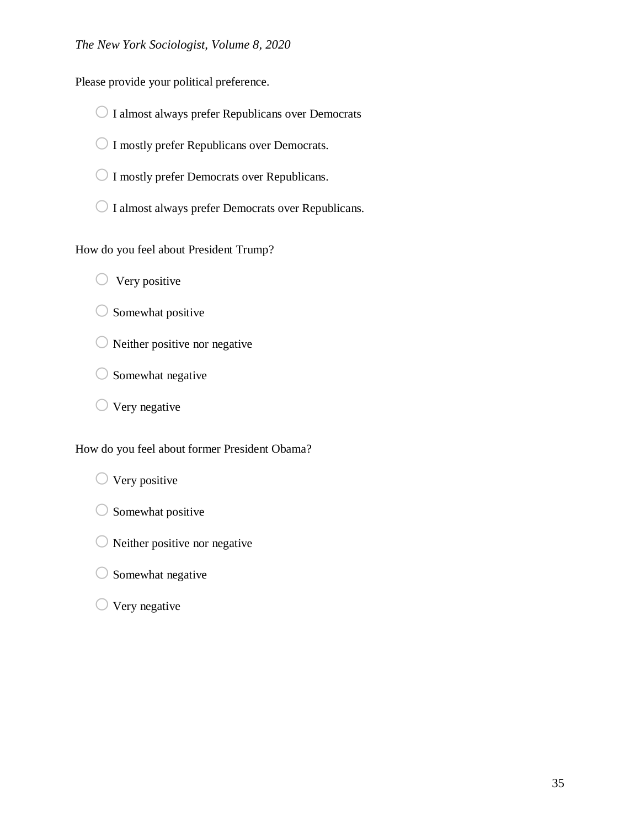Please provide your political preference.

- $\bigcirc$  I almost always prefer Republicans over Democrats
- O I mostly prefer Republicans over Democrats.
- $\bigcirc$  I mostly prefer Democrats over Republicans.
- $\bigcirc$  I almost always prefer Democrats over Republicans.

How do you feel about President Trump?

- $\bigcirc$  Very positive
- $\bigcirc$  Somewhat positive
- $\bigcirc$  Neither positive nor negative
- $\bigcirc$  Somewhat negative
- $\bigcirc$  Very negative

How do you feel about former President Obama?

 $\bigcirc$  Very positive

- $\bigcirc$  Somewhat positive
- $\bigcirc$  Neither positive nor negative
- $\bigcirc$  Somewhat negative
- $\bigcirc$  Very negative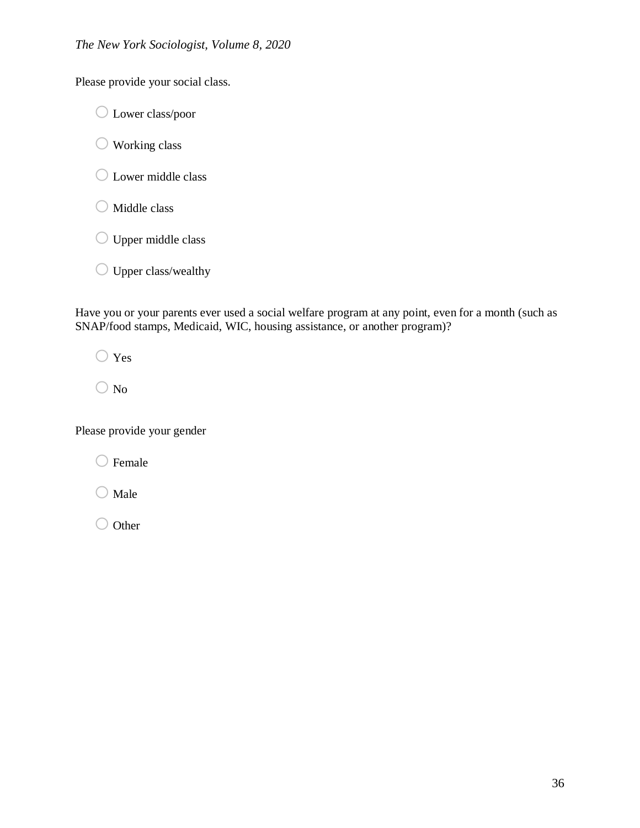Please provide your social class.

o Lower class/poor

 $\bigcirc$  Working class

- O Lower middle class
- $\bigcirc$  Middle class
- O Upper middle class
- $\bigcirc$  Upper class/wealthy

Have you or your parents ever used a social welfare program at any point, even for a month (such as SNAP/food stamps, Medicaid, WIC, housing assistance, or another program)?

 $\bigcirc$  Yes

 $\bigcirc$  No

Please provide your gender

 $\bigcirc$  Female

 $\bigcirc$  Male

 $\bigcirc$  Other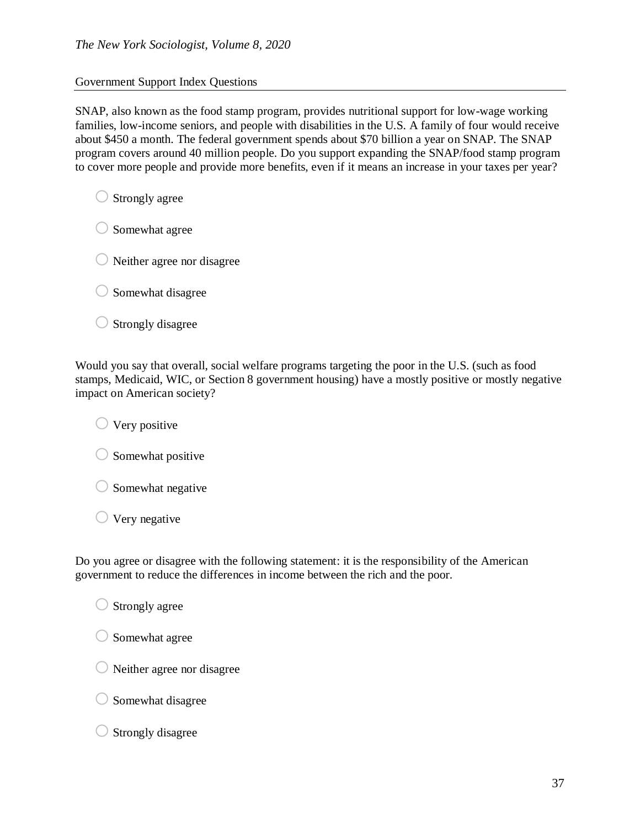### Government Support Index Questions

SNAP, also known as the food stamp program, provides nutritional support for low-wage working families, low-income seniors, and people with disabilities in the U.S. A family of four would receive about \$450 a month. The federal government spends about \$70 billion a year on SNAP. The SNAP program covers around 40 million people. Do you support expanding the SNAP/food stamp program to cover more people and provide more benefits, even if it means an increase in your taxes per year?

 $\bigcirc$  Strongly agree

 $\bigcirc$  Somewhat agree

 $\bigcirc$  Neither agree nor disagree

 $\bigcirc$  Somewhat disagree

 $\bigcirc$  Strongly disagree

Would you say that overall, social welfare programs targeting the poor in the U.S. (such as food stamps, Medicaid, WIC, or Section 8 government housing) have a mostly positive or mostly negative impact on American society?

 $\bigcirc$  Very positive

 $\bigcirc$  Somewhat positive

 $\bigcirc$  Somewhat negative

 $\bigcirc$  Very negative

Do you agree or disagree with the following statement: it is the responsibility of the American government to reduce the differences in income between the rich and the poor.

 $\bigcirc$  Strongly agree

 $\bigcirc$  Somewhat agree

 $\bigcirc$  Neither agree nor disagree

 $\bigcirc$  Somewhat disagree

 $\bigcirc$  Strongly disagree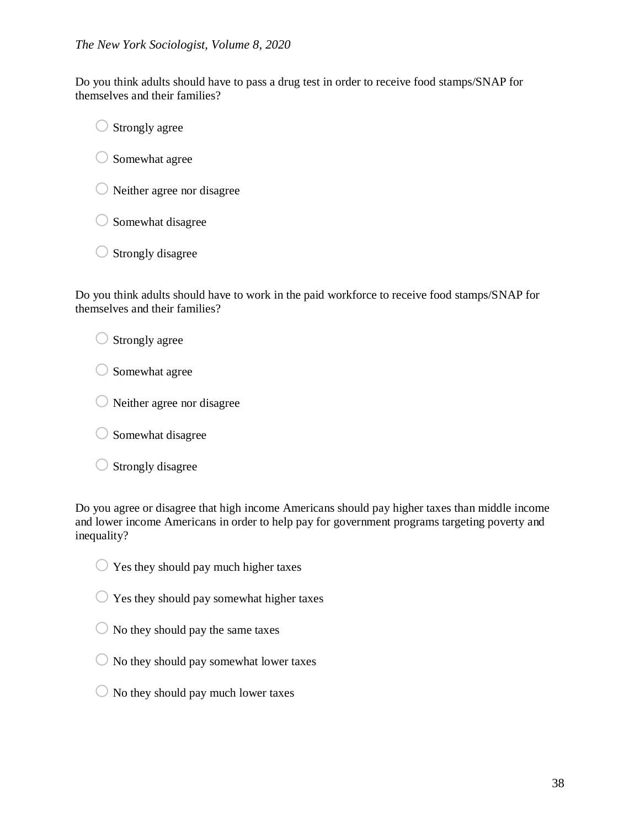Do you think adults should have to pass a drug test in order to receive food stamps/SNAP for themselves and their families?

 $\bigcirc$  Strongly agree

 $\bigcirc$  Somewhat agree

 $\bigcirc$  Neither agree nor disagree

 $\bigcirc$  Somewhat disagree

 $\bigcirc$  Strongly disagree

Do you think adults should have to work in the paid workforce to receive food stamps/SNAP for themselves and their families?

 $\bigcirc$  Strongly agree

 $\bigcirc$  Somewhat agree

 $\bigcirc$  Neither agree nor disagree

 $\bigcirc$  Somewhat disagree

 $\bigcirc$  Strongly disagree

Do you agree or disagree that high income Americans should pay higher taxes than middle income and lower income Americans in order to help pay for government programs targeting poverty and inequality?

 $\bigcirc$  Yes they should pay much higher taxes

 $\bigcirc$  Yes they should pay somewhat higher taxes

 $\bigcirc$  No they should pay the same taxes

 $\bigcirc$  No they should pay somewhat lower taxes

 $\bigcirc$  No they should pay much lower taxes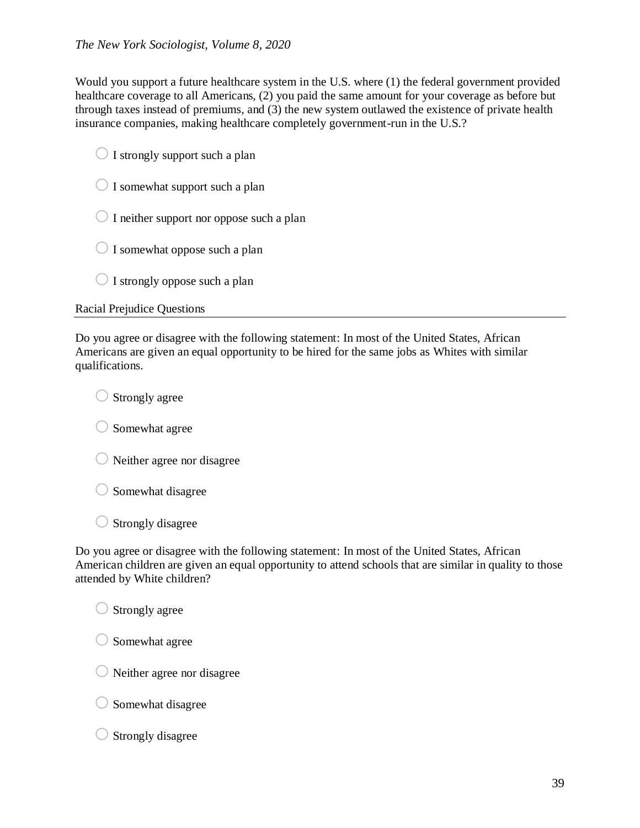Would you support a future healthcare system in the U.S. where (1) the federal government provided healthcare coverage to all Americans, (2) you paid the same amount for your coverage as before but through taxes instead of premiums, and (3) the new system outlawed the existence of private health insurance companies, making healthcare completely government-run in the U.S.?

|  | $\bigcirc$ I strongly support such a plan |  |
|--|-------------------------------------------|--|

- $\bigcirc$  I somewhat support such a plan
- $\bigcirc$  I neither support nor oppose such a plan
- $\bigcirc$  I somewhat oppose such a plan
- $\bigcirc$  I strongly oppose such a plan

## Racial Prejudice Questions

Do you agree or disagree with the following statement: In most of the United States, African Americans are given an equal opportunity to be hired for the same jobs as Whites with similar qualifications.

 $\bigcirc$  Strongly agree

 $\bigcirc$  Somewhat agree

 $\bigcirc$  Neither agree nor disagree

 $\bigcirc$  Somewhat disagree

 $\bigcirc$  Strongly disagree

Do you agree or disagree with the following statement: In most of the United States, African American children are given an equal opportunity to attend schools that are similar in quality to those attended by White children?

 $\bigcirc$  Strongly agree

 $\bigcirc$  Somewhat agree

- $\bigcirc$  Neither agree nor disagree
- $\bigcirc$  Somewhat disagree
- $\bigcirc$  Strongly disagree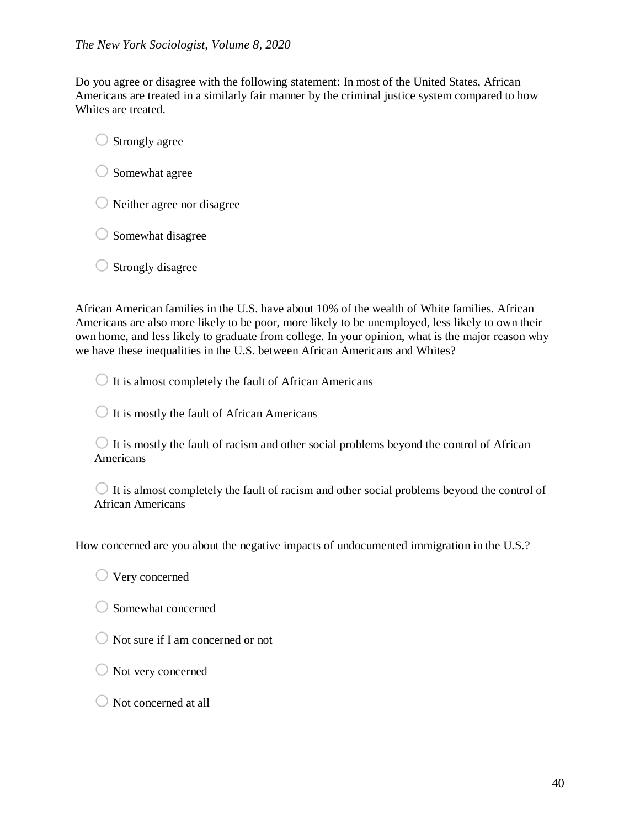Do you agree or disagree with the following statement: In most of the United States, African Americans are treated in a similarly fair manner by the criminal justice system compared to how Whites are treated.

 $\bigcirc$  Strongly agree

- $\bigcirc$  Somewhat agree
- $\bigcirc$  Neither agree nor disagree
- $\bigcirc$  Somewhat disagree
- $\bigcirc$  Strongly disagree

African American families in the U.S. have about 10% of the wealth of White families. African Americans are also more likely to be poor, more likely to be unemployed, less likely to own their own home, and less likely to graduate from college. In your opinion, what is the major reason why we have these inequalities in the U.S. between African Americans and Whites?

 $\bigcirc$  It is almost completely the fault of African Americans

 $\bigcirc$  It is mostly the fault of African Americans

 $\bigcirc$  It is mostly the fault of racism and other social problems beyond the control of African Americans

 $\bigcirc$  It is almost completely the fault of racism and other social problems beyond the control of African Americans

How concerned are you about the negative impacts of undocumented immigration in the U.S.?

 $\bigcirc$  Very concerned

- $\bigcirc$  Somewhat concerned
- $\bigcirc$  Not sure if I am concerned or not
- $\bigcirc$  Not very concerned
- $\bigcirc$  Not concerned at all